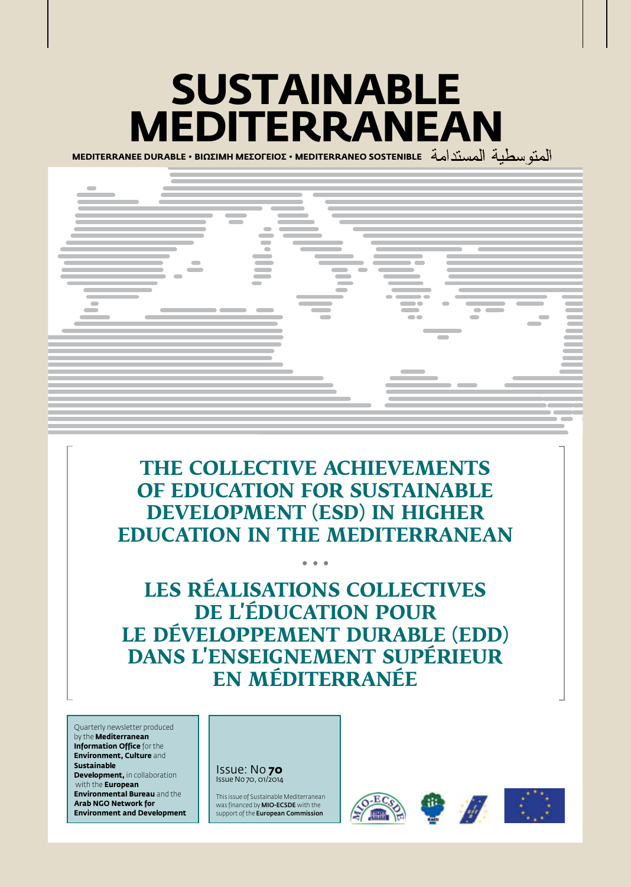# **Sustainable Mediterranean**

**MEDITERRANEE DURABLE • BIΩΣIMH MEΣOΓEIOΣ • MEDITERRANEO SOSTENIBLE** 



## **The collective achievements of Education for Sustainable Development (ESD) in Higher Education in the Mediterranean**

**• • •**

**Les réalisations collectives de l'éducation pour le développement durable (EDD) dans l'enseignement supérieur en Méditerranée**

Quarterly newsletter produced by the **Mediterranean Information Office** for the **Environment, Culture** and **Sustainable Development, in collaboration**  with the **European Environmental Bureau** and the **Arab NGO Network for Environment and Development**

Issue: No **70** Issue No 70, 01/2014

This issue of Sustainable Mediterranean was financed by MIO-ECSDE with the support of the **European Commission** 







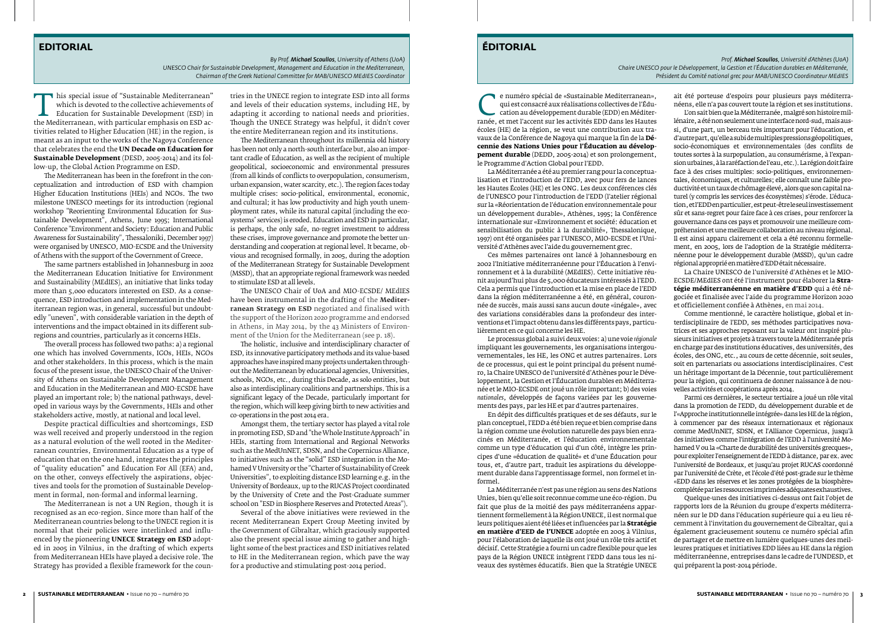This special issue of "Sustainable Mediterranean" which is devoted to the collective achievements of Education for Sustainable Development (ESD) in the Mediterranean, with particular emphasis on ESD activities related to H which is devoted to the collective achievements of Education for Sustainable Development (ESD) in tivities related to Higher Education (HE) in the region, is meant as an input to the works of the Nagoya Conference that celebrates the end the **UN Decade on Education for Sustainable Development** (DESD, 2005-2014) and its follow-up, the Global Action Programme on ESD.

The Mediterranean has been in the forefront in the conceptualization and introduction of ESD with champion Higher Education Institutions (HEIs) and NGOs. The two milestone UNESCO meetings for its introduction (regional workshop "Reorienting Environmental Education for Sustainable Development", Athens, June 1995; International Conference "Environment and Society: Education and Public Awareness for Sustainability", Thessaloniki, December 1997) were organised by UNESCO, MIO-ECSDE and the University of Athens with the support of the Government of Greece.

The same partners established in Johannesburg in 2002 the Mediterranean Education Initiative for Environment and Sustainability (MEdIES), an initiative that links today more than 5,000 educators interested on ESD. As a consequence, ESD introduction and implementation in the Mediterranean region was, in general, successful but undoubtedly "uneven", with considerable variation in the depth of interventions and the impact obtained in its different subregions and countries, particularly as it concerns HEIs.

The overall process has followed two paths: a) a regional one which has involved Governments, IGOs, HEIs, NGOs and other stakeholders. In this process, which is the main focus of the present issue, the UNESCO Chair of the University of Athens on Sustainable Development Management and Education in the Mediterranean and MIO-ECSDE have played an important role; b) the national pathways, developed in various ways by the Governments, HEIs and other stakeholders active, mostly, at national and local level.

Despite practical difficulties and shortcomings, ESD was well received and properly understood in the region as a natural evolution of the well rooted in the Mediterranean countries, Environmental Education as a type of education that on the one hand, integrates the principles of "quality education" and Education For All (EFA) and, on the other, conveys effectively the aspirations, objectives and tools for the promotion of Sustainable Development in formal, non-formal and informal learning.

The Mediterranean is not a UN Region, though it is recognised as an eco-region. Since more than half of the Mediterranean countries belong to the UNECE region it is normal that their policies were interlinked and influenced by the pioneering **UNECE Strategy on ESD** adopted in 2005 in Vilnius, in the drafting of which experts from Mediterranean HEIs have played a decisive role. The Strategy has provided a flexible framework for the coun-

tries in the UNECE region to integrate ESD into all forms and levels of their education systems, including HE, by adapting it according to national needs and priorities. Though the UNECE Strategy was helpful, it didn't cover the entire Mediterranean region and its institutions.

E numéro spécial de «Sustainable Mediterranean»,<br>
qui est consacré aux réalisations collectives de l'Édu-<br>
cation au développement durable (EDD) en Méditerranée,<br>
et met l'accent sur les activités EDD dans les Hautes<br>
écol qui est consacré aux réalisations collectives de l'Éducation au développement durable (EDD) en Méditerranée, et met l'accent sur les activités EDD dans les Hautes écoles (HE) de la région, se veut une contribution aux tra-<br>vaux de la Conférence de Nagoya qui marque la fin de la **Dé**vaux de la Conférence de Nagoya qui marque la fin de la **Décennie des Nations Unies pour l'Éducation au développement durable** (DEDD, 2005-2014) et son prolongement, le Programme d'Action Global pour l'EDD.

The Mediterranean throughout its millennia old history has been not only a north-south interface but, also an important cradle of Education, as well as the recipient of multiple geopolitical, socioeconomic and environmental pressures (from all kinds of conflicts to overpopulation, consumerism, urban expansion, water scarcity, etc.). The region faces today multiple crises: socio-political, environmental, economic, and cultural; it has low productivity and high youth unemployment rates, while its natural capital (including the ecosystems' services) is eroded. Education and ESD in particular, is perhaps, the only safe, no-regret investment to address these crises, improve governance and promote the better understanding and cooperation at regional level. It became, obvious and recognised formally, in 2005, during the adoption of the Mediterranean Strategy for Sustainable Development (MSSD), that an appropriate regional framework was needed to stimulate ESD at all levels.

The UNESCO Chair of UoA and MIO-ECSDE/ MEdIES have been instrumental in the drafting of the **Mediterranean Strategy on ESD** negotiated and finalised with the support of the Horizon 2020 programme and endorsed in Athens, in May 2014, by the 43 Ministers of Environment of the Union for the Mediterranean (see p. 18).

The holistic, inclusive and interdisciplinary character of ESD, its innovative participatory methods and its value-based approaches have inspired many projects undertaken throughout the Mediterranean by educational agencies, Universities, schools, NGOs, etc., during this Decade, as solo entities, but also as interdisciplinary coalitions and partnerships. This is a significant legacy of the Decade, particularly important for the region, which will keep giving birth to new activities and co-operations in the post 2014 era.

Amongst them, the tertiary sector has played a vital role in promoting ESD, SD and "the Whole Institute Approach" in HEIs, starting from International and Regional Networks such as the MedUnNET, SDSN, and the Copernicus Alliance, to initiatives such as the "solid" ESD integration in the Mohamed V University or the "Charter of Sustainability of Greek Universities", to exploiting distance ESD learning e.g. in the University of Bordeaux, up to the RUCAS Project coordinated by the University of Crete and the Post-Graduate summer school on "ESD in Biosphere Reserves and Protected Areas").

Several of the above initiatives were reviewed in the recent Mediterranean Expert Group Meeting invited by the Government of Gibraltar, which graciously supported also the present special issue aiming to gather and highlight some of the best practices and ESD initiatives related to HE in the Mediterranean region, which pave the way for a productive and stimulating post-2014 period.

#### **EDITORIAL**

*by Prof. Michael Scoullos, University of Athens (UoA) UNESCO Chair for Sustainable Development, Management and Education in the Mediterranean, Chairman of the Greek National Committee for MAB/UNESCO MEdIES Coordinator*

### **ÉDITORIAL**

*Prof. Michael Scoullos, Université d'Athènes (UoA) Chaire UNESCO pour le Développement, la Gestion et l'Éducation durables en Méditerranée, Président du Comité national grec pour MAB/UNESCO Coordinateur MEdIES*

La Méditerranée a été au premier rang pour la conceptualisation et l'introduction de l'EDD, avec pour fers de lances les Hautes Écoles (HE) et les ONG. Les deux conférences clés de l'UNESCO pour l'introduction de l'EDD (l'atelier régional sur la «Réorientation de l'éducation environnementale pour un développement durable», Athènes, 1995; la Conférence internationale sur «Environnement et société: éducation et sensibilisation du public à la durabilité», Thessalonique, 1997) ont été organisées par l'UNESCO, MIO-ECSDE et l'Université d'Athènes avec l'aide du gouvernement grec.

Ces mêmes partenaires ont lancé à Johannesbourg en 2002 l'Initiative méditerranéenne pour l'Éducation à l'environnement et à la durabilité (MEdIES). Cette initiative réunit aujourd'hui plus de 5,000 éducateurs intéressés à l'EDD. Cela a permis que l'introduction et la mise en place de l'EDD dans la région méditerranéenne a été, en général, couronnée de succès, mais aussi sans aucun doute «inégale», avec des variations considérables dans la profondeur des interventions et l'impact obtenu dans les différents pays, particulièrement en ce qui concerne les HE.

Le processus global a suivi deux voies: a) une voie *régionale* impliquant les gouvernements, les organisations intergouvernementales, les HE, les ONG et autres partenaires. Lors de ce processus, qui est le point principal du présent numéro, la Chaire UNESCO de l'université d'Athènes pour le Développement, la Gestion et l'Éducation durables en Méditerranée et le MIO-ECSDE ont joué un rôle important; b) des voies *nationales*, développés de façons variées par les gouvernements des pays, par les HE et par d'autres partenaires.

En dépit des difficultés pratiques et de ses défauts, sur le plan conceptuel, l'EDD a été bien reçue et bien comprise dans la région comme une évolution naturelle des pays bien enracinés en Méditerranée, et l'éducation environnementale comme un type d'éducation qui d'un côté, intègre les principes d'une «éducation de qualité» et d'une Éducation pour tous, et, d'autre part, traduit les aspirations du développement durable dans l'apprentissage formel, non formel et informel.

La Méditerranée n'est pas une région au sens des Nations Unies, bien qu'elle soit reconnue comme une éco-région. Du fait que plus de la moitié des pays méditerranéens appartiennent formellement à la Région UNECE, il est normal que leurs politiques aient été liées et influencées par la **Stratégie en matière d'EED de l'UNECE** adoptée en 2005 à Vilnius, pour l'élaboration de laquelle ils ont joué un rôle très actif et décisif. Cette Stratégie a fourni un cadre flexible pour que les pays de la Région UNECE intègrent l'EDD dans tous les niveaux des systèmes éducatifs. Bien que la Stratégie UNECE

ait été porteuse d'espoirs pour plusieurs pays méditerranéens, elle n'a pas couvert toute la région et ses institutions.

L'on sait bien que la Méditerranée, malgré son histoire millénaire, a été non seulement une interface nord-sud, mais aussi, d'une part, un berceau très important pour l'éducation, et d'autre part, qu'elle a subi de multiples pressions géopolitiques, socio-économiques et environnementales (des conflits de toutes sortes à la surpopulation, au consumérisme, à l'expansion urbaines, à la raréfaction de l'eau, etc.). La région doit faire face à des crises multiples: socio-politiques, environnementales, économiques, et culturelles; elle connaît une faible productivité et un taux de chômage élevé, alors que son capital naturel (y compris les services des écosystèmes) s'érode. L'éducation, et l'EDD en particulier, est peut-être le seul investissement sûr et sans-regret pour faire face à ces crises, pour renforcer la gouvernance dans ces pays et promouvoir une meilleure compréhension et une meilleure collaboration au niveau régional. Il est ainsi apparu clairement et cela a été reconnu formellement, en 2005, lors de l'adoption de la Stratégie méditerranéenne pour le développement durable (MSSD), qu'un cadre régional approprié en matière d'EDD était nécessaire.

La Chaire UNESCO de l'université d'Athènes et le MIO-ECSDE/MEdIES ont été l'instrument pour élaborer la **Stratégie méditerranéenne en matière d'EDD** qui a été négociée et finalisée avec l'aide du programme Horizon 2020 et officiellement confiée à Athènes, en mai 2014.

Comme mentionné, le caractère holistique, global et interdisciplinaire de l'EDD, ses méthodes participatives novatrices et ses approches reposant sur la valeur ont inspiré plusieurs initiatives et projets à travers toute la Méditerranée pris en charge par des institutions éducatives, des universités, des écoles, des ONG, etc., au cours de cette décennie, soit seules, soit en partenariats ou associations interdisciplinaires. C'est un héritage important de la Décennie, tout particulièrement pour la région, qui continuera de donner naissance à de nouvelles activités et coopérations après 2014.

Parmi ces dernières, le secteur tertiaire a joué un rôle vital dans la promotion de l'EDD, du développement durable et de l'«Approche institutionnelle intégrée» dans les HE de la région, à commencer par des réseaux internationaux et régionaux comme MedUnNET, SDSN, et l'Alliance Copernicus, jusqu'à des initiatives comme l'intégration de l'EDD à l'université Mohamed V ou la «Charte de durabilité des universités grecques», pour exploiter l'enseignement de l'EDD à distance, par ex. avec l'université de Bordeaux, et jusqu'au projet RUCAS coordonné par l'université de Crète, et l'école d'été post-grade sur le thème «EDD dans les réserves et les zones protégées de la biosphère» complétée par les ressources imprimées adéquates exhaustives.

Quelque-unes des initiatives ci-dessus ont fait l'objet de rapports lors de la Réunion du groupe d'experts méditerranéen sur le DD dans l'éducation supérieure qui a eu lieu récemment à l'invitation du gouvernement de Gibraltar, qui a également gracieusement soutenu ce numéro spécial afin de partager et de mettre en lumière quelques-unes des meilleures pratiques et initiatives EDD liées au HE dans la région méditerranéenne, entreprises dans le cadre de l'UNDESD, et qui préparent la post-2014 période.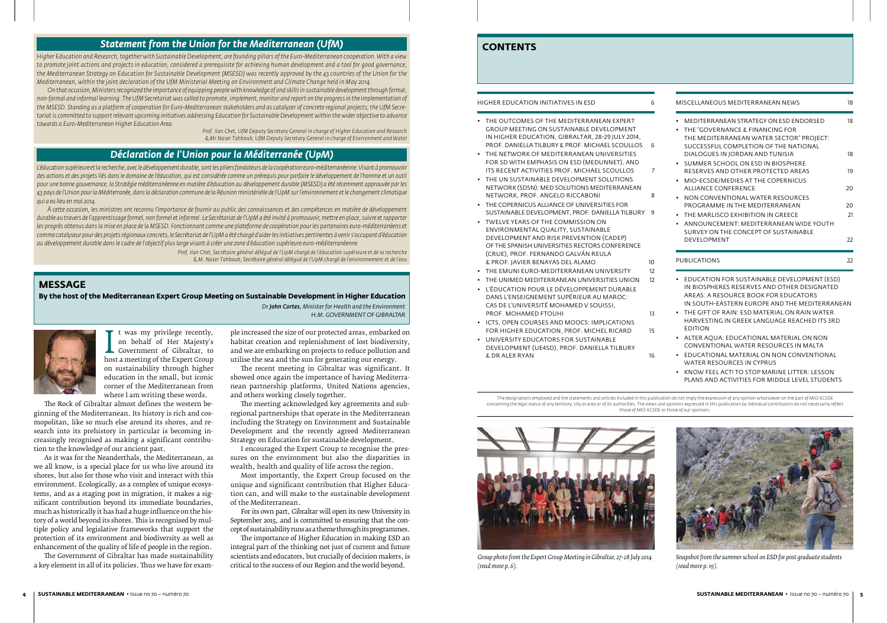#### HIGHER EDUCATION INITIATIVES IN ESD 6

- • The outcomes of the Mediterranean Expert Group Meeting on Sustainable Development in Higher Education, Gibraltar, 28-29 July 2014, PROF. DANIELLA TILBURY & PROF. MICHAEL SCOULLOS 6
- THE NETWORK OF MEDITERRANEAN UNIVERSITIES for SD with emphasis on ESD (MedUnNET), and its recent activities Prof. Michael Scoullos 7
- • The UN Sustainable Development Solutions Network (SDSN): MED Solutions Mediterranean Network, Prof. Angelo Riccaboni 8
- • The Copernicus Alliance of Universities for SUSTAINABLE DEVELOPMENT, PROF. DANIELLA TILBURY 9
- • Twelve years of the Commission on Environmental Quality, Sustainable Development and Risk Prevention (CADEP) of the Spanish Universities Rectors Conference (CRUE), Prof. Fernando Galván Reula & Prof. Javier Benayas del Alamo 10
- THE EMUNI EURO-MEDITERRANEAN UNIVERSITY 12
- THE UNIMED MEDITERRANEAN UNIVERSITIES UNION 12
- • L'éducation pour le Développement durable dans l'enseignement supérieur au Maroc: Cas de l'université Mohamed V Souissi, PROF. MOHAMED FTOUHI 13
- • ICTs, Open Courses and MOOCs: Implications FOR HIGHER EDUCATION, PROF. MICHEL RICARD 15
- • University Educators for Sustainable Development (UE4SD), Prof. Daniella Tilbury & Dr Alex Ryan 16

#### **CONTENTS**



*Group photo from the Expert Group Meeting in Gibraltar, 27-28 July 2014 (read more p. 6).*



*Snapshot from the summer school on ESD for post graduate students (read more p. 19).*

on behalf of Her Majesty's<br>Government of Gibraltar, to<br>host a meeting of the Expert Group<br>on sustainability through higher t was my privilege recently, on behalf of Her Majesty's Government of Gibraltar, to on sustainability through higher education in the small, but iconic corner of the Mediterranean from where I am writing these words.

|                        | MISCELLANEOUS MEDITERRANEAN NEWS                                                  |    |  |  |
|------------------------|-----------------------------------------------------------------------------------|----|--|--|
| ٠                      | MEDITERRANEAN STRATEGY ON ESD ENDORSED<br>THE "GOVERNANCE & FINANCING FOR         | 18 |  |  |
|                        | THE MEDITERRANEAN WATER SECTOR" PROJECT:<br>SUCCESSEUL COMPLETION OF THE NATIONAL |    |  |  |
|                        | DIALOGUES IN JORDAN AND TUNISIA<br>• SUMMER SCHOOL ON ESD IN BIOSPHERE            | 18 |  |  |
| $\bullet$              | RESERVES AND OTHER PROTECTED AREAS<br>MIO-ECSDE/MEDIES AT THE COPERNICUS          | 19 |  |  |
|                        | ALLIANCE CONFERENCE                                                               | 20 |  |  |
| ٠                      | NON CONVENTIONAL WATER RESOURCES<br>PROGRAMME IN THE MEDITERRANEAN                | 20 |  |  |
| $\bullet$<br>$\bullet$ | THE MARLISCO EXHIBITION IN GREECE<br>ANNOUNCEMENT: MEDITERRANEAN WIDE YOUTH       | 21 |  |  |
|                        | SURVEY ON THE CONCEPT OF SUSTAINABLE<br><b>DEVELOPMENT</b>                        | 22 |  |  |
|                        | <b>PUBLICATIONS</b>                                                               |    |  |  |

- • Education for Sustainable Development (ESD) in Biospheres Reserves and other Designated Areas: A Resource Book for Educators in South-Eastern Europe and the Mediterranean
- • The Gift of Rain: ESD material on Rain Water Harvesting in Greek language reached its 3rd Edition
- • Alter Aqua: Educational Material on Non Conventional Water Resources in Malta
- • Educational Material on Non Conventional Water Resources in Cyprus
- KNOW FEEL ACT! TO STOP MARINE LITTER: LESSON Plans and activities for middle level students

The designations employed and the statements and articles included in this publication do not imply the expression of any opinion whatsoever on the part of MIO-ECSDE concerning the legal status of any territory, city or area or of its authorities. The views and opinions expressed in this publication by individual contributors do not necessarily reflection. those of MIO-ECSDE or those of our sponsors.

#### **MESSAGE**

**By the host of the Mediterranean Expert Group Meeting on Sustainable Development in Higher Education** *Dr John Cortes, Minister for Health and the Environment* 

*H.M. GOVERNMENT OF GIBRALTAR*



The Rock of Gibraltar almost defines the western beginning of the Mediterranean. Its history is rich and cosmopolitan, like so much else around its shores, and research into its prehistory in particular is becoming increasingly recognised as making a significant contribution to the knowledge of our ancient past.

L'éducation supérieure et la recherche, avec le développement durable, sont les piliers fondateurs de la coopération euro-méditerranéenne. Visant à promouvoir *des actions et des projets liés dans le domaine de l'éducation, qui est considérée comme un prérequis pour parfaire le développement de l'homme et un outil pour une bonne gouvernance, la Stratégie méditerranéenne en matière d'éducation au développement durable (MSESD) a été récemment approuvée par les 43 pays de l'Union pour la Méditerranée, dans la déclaration commune de la Réunion ministérielle de l'UpM sur l'environnement et le changement climatique qui a eu lieu en mai 2014.*

As it was for the Neanderthals, the Mediterranean, as we all know, is a special place for us who live around its shores, but also for those who visit and interact with this environment. Ecologically, as a complex of unique ecosystems, and as a staging post in migration, it makes a significant contribution beyond its immediate boundaries, much as historically it has had a huge influence on the history of a world beyond its shores. This is recognised by multiple policy and legislative frameworks that support the protection of its environment and biodiversity as well as enhancement of the quality of life of people in the region.

The Government of Gibraltar has made sustainability a key element in all of its policies. Thus we have for exam-

ple increased the size of our protected areas, embarked on habitat creation and replenishment of lost biodiversity, and we are embarking on projects to reduce pollution and utilise the sea and the sun for generating our energy.

The recent meeting in Gibraltar was significant. It showed once again the importance of having Mediterranean partnership platforms, United Nations agencies, and others working closely together.

The meeting acknowledged key agreements and subregional partnerships that operate in the Mediterranean including the Strategy on Environment and Sustainable Development and the recently agreed Mediterranean Strategy on Education for sustainable development.

I encouraged the Expert Group to recognise the pressures on the environment but also the disparities in wealth, health and quality of life across the region.

Most importantly, the Expert Group focused on the unique and significant contribution that Higher Education can, and will make to the sustainable development of the Mediterranean.

For its own part, Gibraltar will open its new University in September 2015, and is committed to ensuring that the concept of sustainability runs as a theme through its programmes.

The importance of Higher Education in making ESD an integral part of the thinking not just of current and future scientists and educators, but crucially of decision makers, is critical to the success of our Region and the world beyond.

#### *Statement from the Union for the Mediterranean (UfM)*

*Higher Education and Research, together with Sustainable Development, are founding pillars of the Euro-Mediterranean cooperation. With a view to promote joint actions and projects in education, considered a prerequisite for achieving human development and a tool for good governance, the Mediterranean Strategy on Education for Sustainable Development (MSESD) was recently approved by the 43 countries of the Union for the Mediterranean, within the joint declaration of the UfM Ministerial Meeting on Environment and Climate Change held in May 2014.* 

*On that occasion, Ministers recognized the importance of equipping people with knowledge of and skills in sustainable development through formal, non-formal and informal learning. The UfM Secretariat was called to promote, implement, monitor and report on the progress in the implementation of the MSESD. Standing as a platform of cooperation for Euro-Mediterranean stakeholders and as catalyzer of concrete regional projects, the UfM Secretariat is committed to support relevant upcoming initiatives addressing Education for Sustainable Development within the wider objective to advance towards a Euro-Mediterranean Higher Education Area.*

*Prof. Ilan Chet, UfM Deputy Secretary General in charge of Higher Education and Research & Mr Naser Tahboub, UfM Deputy Secretary General in charge of Environment and Water*

### *Déclaration de l'Union pour la Méditerranée (UpM)*

*À cette occasion, les ministres ont reconnu l'importance de fournir au public des connaissances et des compétences en matière de développement durable au travers de l'apprentissage formel, non formel et informel. Le Secrétariat de l'UpM a été invité à promouvoir, mettre en place, suivre et rapporter*  les progrès obtenus dans la mise en place de la MSESD. Fonctionnant comme une plateforme de coopération pour les partenaires euro-méditerranéens et *comme catalyseur pour des projets régionaux concrets, le Secrétariat de l'UpM a été chargé d'aider les initiatives pertinentes à venir s'occupant d'éducation au développement durable dans le cadre de l'objectif plus large visant à créer une zone d'éducation supérieure euro-méditerranéenne.*

> *Prof. Ilan Chet, Secrétaire général délégué de l'UpM chargé de l'éducation supérieure et de la recherche & M. Naser Tahboub, Secrétaire général délégué de l'UpM chargé de l'environnement et de l'eau*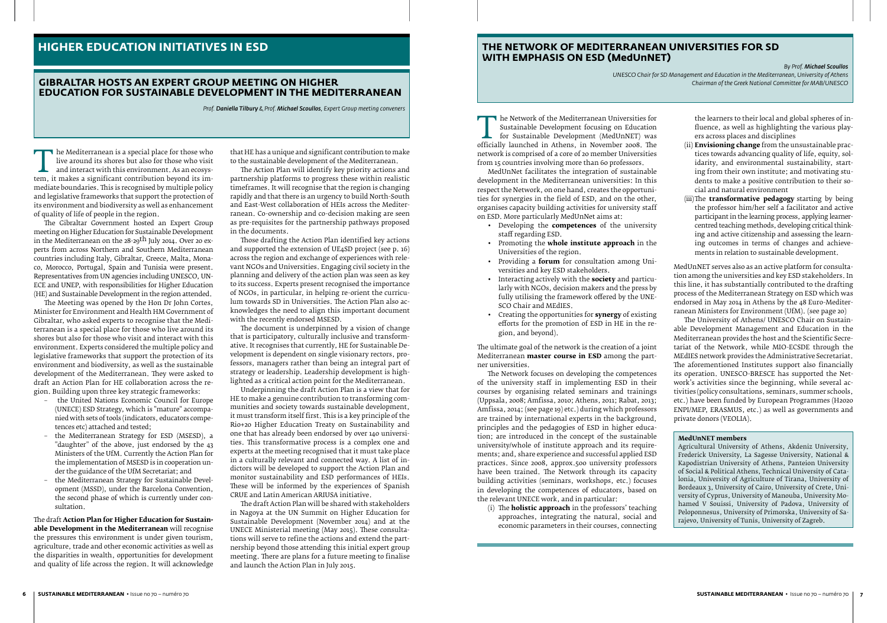#### **Gibraltar hosts an Expert Group meeting on Higher Education for Sustainable Development in the Mediterranean**

*Prof. Daniella Tilbury & Prof. Michael Scoullos, Expert Group meeting conveners*

The Mediterranean is a special place for those who<br>live around its shores but also for those who visit<br>and interact with this environment. As an ecosys-<br>tem, it makes a significant contribution beyond its im-<br>mediate bound live around its shores but also for those who visit and interact with this environment. As an ecosystem, it makes a significant contribution beyond its immediate boundaries. This is recognised by multiple policy and legislative frameworks that support the protection of its environment and biodiversity as well as enhancement of quality of life of people in the region.

The Gibraltar Government hosted an Expert Group meeting on Higher Education for Sustainable Development in the Mediterranean on the 28-29<sup>th</sup> July 2014. Over 20 experts from across Northern and Southern Mediterranean countries including Italy, Gibraltar, Greece, Malta, Monaco, Morocco, Portugal, Spain and Tunisia were present. Representatives from UN agencies including UNESCO, UN-ECE and UNEP, with responsibilities for Higher Education (HE) and Sustainable Development in the region attended.

The Meeting was opened by the Hon Dr John Cortes, Minister for Environment and Health HM Government of Gibraltar, who asked experts to recognise that the Mediterranean is a special place for those who live around its shores but also for those who visit and interact with this environment. Experts considered the multiple policy and legislative frameworks that support the protection of its environment and biodiversity, as well as the sustainable development of the Mediterranean. They were asked to draft an Action Plan for HE collaboration across the region. Building upon three key strategic frameworks:

- the United Nations Economic Council for Europe (UNECE) ESD Strategy, which is "mature" accompanied with sets of tools (indicators, educators competences etc) attached and tested;
- the Mediterranean Strategy for ESD (MSESD), a "daughter" of the above, just endorsed by the 43 Ministers of the UfM. Currently the Action Plan for the implementation of MSESD is in cooperation under the guidance of the UfM Secretariat; and
- the Mediterranean Strategy for Sustainable Development (MSSD), under the Barcelona Convention, the second phase of which is currently under consultation.

The draft **Action Plan for Higher Education for Sustainable Development in the Mediterranean** will recognise the pressures this environment is under given tourism, agriculture, trade and other economic activities as well as the disparities in wealth, opportunities for development and quality of life across the region. It will acknowledge

that HE has a unique and significant contribution to make to the sustainable development of the Mediterranean.

The Network of the Mediterranean Universities for<br>Sustainable Development (MedUnNET) was<br>officially launched in Athens, in November 2008. The<br>network is comprised of a core of 20 member Universities Sustainable Development focusing on Education for Sustainable Development (MedUnNET) was officially launched in Athens, in November 2008. The network is comprised of a core of 20 member Universities from 15 countries involving more than 60 professors.

The Action Plan will identify key priority actions and partnership platforms to progress these within realistic timeframes. It will recognise that the region is changing rapidly and that there is an urgency to build North-South and East-West collaboration of HEIs across the Mediterranean. Co-ownership and co-decision making are seen as pre-requisites for the partnership pathways proposed in the documents.

Those drafting the Action Plan identified key actions and supported the extension of UE4SD project (see p. 16) across the region and exchange of experiences with relevant NGOs and Universities. Engaging civil society in the planning and delivery of the action plan was seen as key to its success. Experts present recognised the importance of NGOs, in particular, in helping re-orient the curriculum towards SD in Universities. The Action Plan also acknowledges the need to align this important document with the recently endorsed MSESD.

The document is underpinned by a vision of change that is participatory, culturally inclusive and transformative. It recognises that currently, HE for Sustainable Development is dependent on single visionary rectors, professors, managers rather than being an integral part of strategy or leadership. Leadership development is highlighted as a critical action point for the Mediterranean.

Underpinning the draft Action Plan is a view that for HE to make a genuine contribution to transforming communities and society towards sustainable development, it must transform itself first. This is a key principle of the Rio+20 Higher Education Treaty on Sustainability and one that has already been endorsed by over 140 universities. This transformative process is a complex one and experts at the meeting recognised that it must take place in a culturally relevant and connected way. A list of indictors will be developed to support the Action Plan and monitor sustainability and ESD performances of HEIs. These will be informed by the experiences of Spanish CRUE and Latin American ARIUSA initiative.

The draft Action Plan will be shared with stakeholders in Nagoya at the UN Summit on Higher Education for Sustainable Development (November 2014) and at the UNECE Ministerial meeting (May 2015). These consultations will serve to refine the actions and extend the partnership beyond those attending this initial expert group meeting. There are plans for a future meeting to finalise and launch the Action Plan in July 2015.

### **HIGHER EDUCATION INITIATIVES IN ESD**

MedUnNet facilitates the integration of sustainable development in the Mediterranean universities: In this respect the Network, on one hand, creates the opportunities for synergies in the field of ESD, and on the other, organises capacity building activities for university staff on ESD. More particularly MedUnNet aims at:

- • Developing the **competences** of the university staff regarding ESD.
- • Promoting the **whole institute approach** in the Universities of the region.
- • Providing a **forum** for consultation among Universities and key ESD stakeholders.
- • Interacting actively with the **society** and particularly with NGOs, decision makers and the press by fully utilising the framework offered by the UNE-SCO Chair and MEdIES.
- • Creating the opportunities for **synergy** of existing efforts for the promotion of ESD in HE in the region, and beyond).

The ultimate goal of the network is the creation of a joint Mediterranean **master course in ESD** among the partner universities.

The Network focuses on developing the competences of the university staff in implementing ESD in their courses by organising related seminars and trainings (Uppsala, 2008; Amfissa, 2010; Athens, 2011; Rabat, 2013; Amfissa, 2014; (see page 19) etc.) during which professors are trained by international experts in the background, principles and the pedagogies of ESD in higher education; are introduced in the concept of the sustainable university/whole of institute approach and its requirements; and, share experience and successful applied ESD practices. Since 2008, approx.500 university professors have been trained. The Network through its capacity building activities (seminars, workshops, etc.) focuses in developing the competences of educators, based on the relevant UNECE work, and in particular:

(i) The **holistic approach** in the professors' teaching approaches, integrating the natural, social and economic parameters in their courses, connecting

the learners to their local and global spheres of influence, as well as highlighting the various players across places and disciplines

- (ii) **Envisioning change** from the unsustainable practices towards advancing quality of life, equity, solidarity, and environmental sustainability, starting from their own institute; and motivating students to make a positive contribution to their social and natural environment
- (iii)The **transformative pedagogy** starting by being the professor him/her self a facilitator and active participant in the learning process, applying learnercentred teaching methods, developing critical thinking and active citizenship and assessing the learning outcomes in terms of changes and achievements in relation to sustainable development.

MedUnNET serves also as an active platform for consultation among the universities and key ESD stakeholders. In this line, it has substantially contributed to the drafting process of the Mediterranean Strategy on ESD which was endorsed in May 2014 in Athens by the 48 Euro-Mediterranean Ministers for Environment (UfM). (see page 20)

The University of Athens/ UNESCO Chair on Sustainable Development Management and Education in the Mediterranean provides the host and the Scientific Secretariat of the Network, while MIO-ECSDE through the MEdIES network provides the Administrative Secretariat. The aforementioned Institutes support also financially its operation. UNESCO-BRESCE has supported the Network's activities since the beginning, while several activities (policy consultations, seminars, summer schools, etc.) have been funded by European Programmes (H2020 ENPI/MEP, ERASMUS, etc.) as well as governments and private donors (VEOLIA).

#### **MedUnNET members**

Agricultural University of Athens, Akdeniz University, Frederick University, La Sagesse University, National & Kapodistrian University of Athens, Panteion University of Social & Political Athens, Technical University of Catalonia, University of Agriculture of Tirana, University of Bordeaux 3, University of Cairo, University of Crete, University of Cyprus, University of Manouba, University Mohamed V Souissi, University of Padova, University of Peloponnesus, University of Primorska, University of Sarajevo, University of Tunis, University of Zagreb.

#### **THE Network of Mediterranean Universities for SD with emphasis on ESD (MedUnNET)**

*By Prof. Michael Scoullos UNESCO Chair for SD Management and Education in the Mediterranean, University of Athens Chairman of the Greek National Committee for MAB/UNESCO*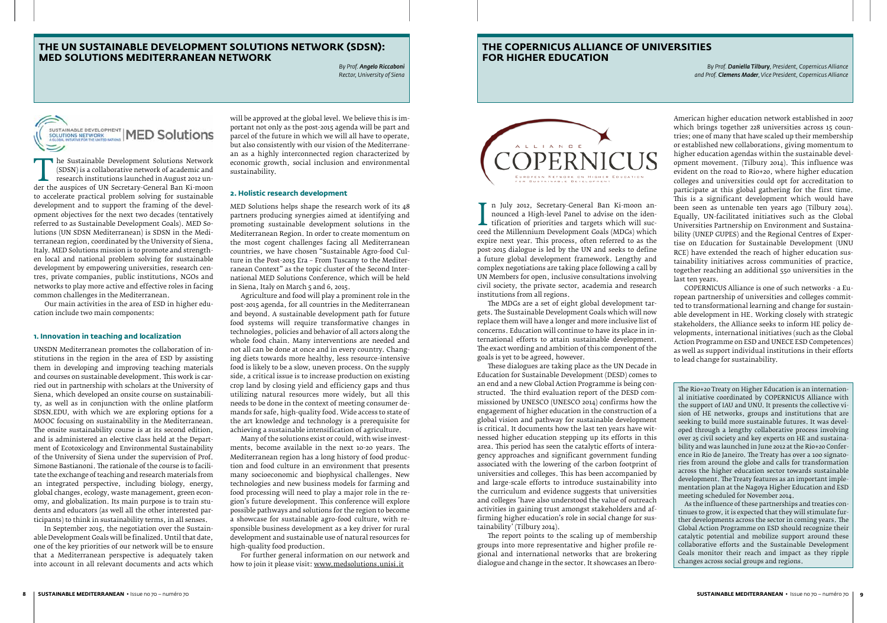The Sustainable Development Solutions Network<br>
(SDSN) is a collaborative network of academic and<br>
research institutions launched in August 2012 un-<br>
der the auspices of UN Secretary-General Ban Ki-moon<br>
to accelerate pract (SDSN) is a collaborative network of academic and research institutions launched in August 2012 unto accelerate practical problem solving for sustainable development and to support the framing of the development objectives for the next two decades (tentatively referred to as Sustainable Development Goals). MED Solutions (UN SDSN Mediterranean) is SDSN in the Mediterranean region, coordinated by the University of Siena, Italy. MED Solutions mission is to promote and strengthen local and national problem solving for sustainable development by empowering universities, research centres, private companies, public institutions, NGOs and networks to play more active and effective roles in facing common challenges in the Mediterranean.

Our main activities in the area of ESD in higher education include two main components:

#### **1. Innovation in teaching and localization**

UNSDN Mediterranean promotes the collaboration of institutions in the region in the area of ESD by assisting them in developing and improving teaching materials and courses on sustainable development. This work is carried out in partnership with scholars at the University of Siena, which developed an onsite course on sustainability, as well as in conjunction with the online platform SDSN.EDU, with which we are exploring options for a MOOC focusing on sustainability in the Mediterranean. The onsite sustainability course is at its second edition, and is administered an elective class held at the Department of Ecotoxicology and Environmental Sustainability of the University of Siena under the supervision of Prof. Simone Bastianoni. The rationale of the course is to facilitate the exchange of teaching and research materials from an integrated perspective, including biology, energy, global changes, ecology, waste management, green economy, and globalization. Its main purpose is to train students and educators (as well all the other interested participants) to think in sustainability terms, in all senses.

In September 2015, the negotiation over the Sustainable Development Goals will be finalized. Until that date, one of the key priorities of our network will be to ensure that a Mediterranean perspective is adequately taken into account in all relevant documents and acts which

will be approved at the global level. We believe this is important not only as the post-2015 agenda will be part and parcel of the future in which we will all have to operate, but also consistently with our vision of the Mediterranean as a highly interconnected region characterized by economic growth, social inclusion and environmental sustainability.

#### **2. Holistic research development**

nounced a High-level Panel to advise on the identification of priorities and targets which will succeed the Millennium Development Goals (MDGs) which<br>expire next year. This process, often referred to as the n July 2012, Secretary-General Ban Ki-moon announced a High-level Panel to advise on the iden-**L** tification of priorities and targets which will sucexpire next year. This process, often referred to as the post-2015 dialogue is led by the UN and seeks to define a future global development framework. Lengthy and complex negotiations are taking place following a call by UN Members for open, inclusive consultations involving civil society, the private sector, academia and research institutions from all regions.

MED Solutions helps shape the research work of its 48 partners producing synergies aimed at identifying and promoting sustainable development solutions in the Mediterranean Region. In order to create momentum on the most cogent challenges facing all Mediterranean countries, we have chosen "Sustainable Agro-food Culture in the Post-2015 Era – From Tuscany to the Mediterranean Context" as the topic cluster of the Second International MED Solutions Conference, which will be held in Siena, Italy on March 5 and 6, 2015.

Agriculture and food will play a prominent role in the post-2015 agenda, for all countries in the Mediterranean and beyond. A sustainable development path for future food systems will require transformative changes in technologies, policies and behavior of all actors along the whole food chain. Many interventions are needed and not all can be done at once and in every country. Changing diets towards more healthy, less resource-intensive food is likely to be a slow, uneven process. On the supply side, a critical issue is to increase production on existing crop land by closing yield and efficiency gaps and thus utilizing natural resources more widely, but all this needs to be done in the context of meeting consumer demands for safe, high-quality food. Wide access to state of the art knowledge and technology is a prerequisite for achieving a sustainable intensification of agriculture.

Many of the solutions exist or could, with wise investments, become available in the next 10-20 years. The Mediterranean region has a long history of food production and food culture in an environment that presents many socioeconomic and biophysical challenges. New technologies and new business models for farming and food processing will need to play a major role in the region's future development. This conference will explore possible pathways and solutions for the region to become a showcase for sustainable agro-food culture, with responsible business development as a key driver for rural development and sustainable use of natural resources for high-quality food production.

For further general information on our network and how to join it please visit: www.medsolutions.unisi.it

#### **The UN Sustainable Development Solutions Network (SDSN): MED Solutions Mediterranean Network**

*By Prof. Angelo Riccaboni Rector, University of Siena*

#### SUSTAINABLE DEVELOPMENT **MED Solutions SOLUTIONS NETWORK**

#### **The Copernicus Alliance of Universities for Higher Education**



*By Prof. Daniella Tilbury, President, Copernicus Alliance and Prof. Clemens Mader, Vice President, Copernicus Alliance*

The MDGs are a set of eight global development targets. The Sustainable Development Goals which will now replace them will have a longer and more inclusive list of concerns. Education will continue to have its place in international efforts to attain sustainable development. The exact wording and ambition of this component of the goals is yet to be agreed, however.

These dialogues are taking place as the UN Decade in Education for Sustainable Development (DESD) comes to an end and a new Global Action Programme is being constructed. The third evaluation report of the DESD commissioned by UNESCO (UNESCO 2014) confirms how the engagement of higher education in the construction of a global vision and pathway for sustainable development is critical. It documents how the last ten years have witnessed higher education stepping up its efforts in this area. This period has seen the catalytic efforts of interagency approaches and significant government funding associated with the lowering of the carbon footprint of universities and colleges. This has been accompanied by and large-scale efforts to introduce sustainability into the curriculum and evidence suggests that universities and colleges 'have also understood the value of outreach activities in gaining trust amongst stakeholders and affirming higher education's role in social change for sustainability' (Tilbury 2014).

The report points to the scaling up of membership groups into more representative and higher profile regional and international networks that are brokering dialogue and change in the sector. It showcases an Ibero-

American higher education network established in 2007 which brings together 228 universities across 15 countries; one of many that have scaled up their membership or established new collaborations, giving momentum to higher education agendas within the sustainable development movement. (Tilbury 2014). This influence was evident on the road to Rio+20, where higher education colleges and universities could opt for accreditation to participate at this global gathering for the first time. This is a significant development which would have been seen as untenable ten years ago (Tilbury 2014). Equally, UN-facilitated initiatives such as the Global Universities Partnership on Environment and Sustainability (UNEP GUPES) and the Regional Centres of Expertise on Education for Sustainable Development (UNU RCE) have extended the reach of higher education sustainability initiatives across communities of practice, together reaching an additional 550 universities in the last ten years.

COPERNICUS Alliance is one of such networks - a European partnership of universities and colleges committed to transformational learning and change for sustainable development in HE. Working closely with strategic stakeholders, the Alliance seeks to inform HE policy developments, international initiatives (such as the Global Action Programme on ESD and UNECE ESD Competences) as well as support individual institutions in their efforts to lead change for sustainability.

The Rio+20 Treaty on Higher Education is an international initiative coordinated by COPERNICUS Alliance with the support of IAU and UNU. It presents the collective vision of HE networks, groups and institutions that are seeking to build more sustainable futures. It was developed through a lengthy collaborative process involving over 25 civil society and key experts on HE and sustainability and was launched in June 2012 at the Rio+20 Conference in Rio de Janeiro. The Treaty has over a 100 signatories from around the globe and calls for transformation across the higher education sector towards sustainable development. The Treaty features as an important implementation plan at the Nagoya Higher Education and ESD meeting scheduled for November 2014.

As the influence of these partnerships and treaties continues to grow, it is expected that they will stimulate further developments across the sector in coming years. The Global Action Programme on ESD should recognize their catalytic potential and mobilize support around these collaborative efforts and the Sustainable Development Goals monitor their reach and impact as they ripple changes across social groups and regions.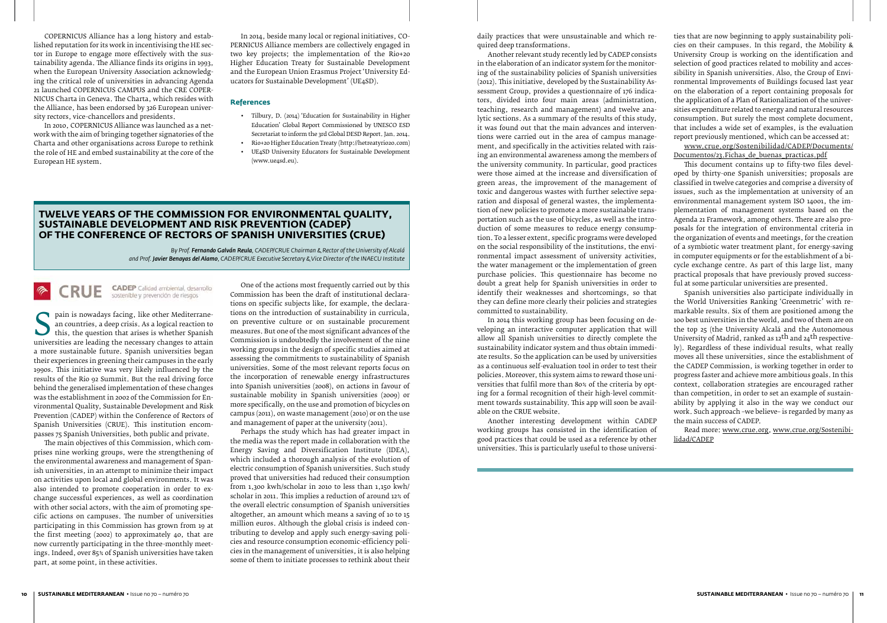#### **Twelve years of the Commission for Environmental Quality, Sustainable Development and Risk Prevention (CADEP) of the Conference of Rectors of Spanish Universities (CRUE)**

*by Prof. Fernando Galván Reula, CADEP/CRUE Chairman & Rector of the University of Alcalá and Prof. Javier Benayas del Alamo, CADEP/CRUE Executive Secretary & Vice Director of the INAECU Institute*

#### CADEP Calidad ambiental, desarrollo<br>sostenible y prevención de riesgos **RUE**

Frame is nowadays facting, like other Mediterrane-<br>an countries, a deep crisis. As a logical reaction to<br>this, the question that arises is whether Spanish<br>universities are leading the necessary changes to attain<br>a more sus an countries, a deep crisis. As a logical reaction to this, the question that arises is whether Spanish universities are leading the necessary changes to attain a more sustainable future. Spanish universities began their experiences in greening their campuses in the early 1990s. This initiative was very likely influenced by the results of the Rio 92 Summit. But the real driving force behind the generalised implementation of these changes was the establishment in 2002 of the Commission for Environmental Quality, Sustainable Development and Risk Prevention (CADEP) within the Conference of Rectors of Spanish Universities (CRUE). This institution encompasses 75 Spanish Universities, both public and private.

The main objectives of this Commission, which comprises nine working groups, were the strengthening of the environmental awareness and management of Spanish universities, in an attempt to minimize their impact on activities upon local and global environments. It was also intended to promote cooperation in order to exchange successful experiences, as well as coordination with other social actors, with the aim of promoting specific actions on campuses. The number of universities participating in this Commission has grown from 19 at the first meeting (2002) to approximately 40, that are now currently participating in the three-monthly meetings. Indeed, over 85% of Spanish universities have taken part, at some point, in these activities.

One of the actions most frequently carried out by this Commission has been the draft of institutional declarations on specific subjects like, for example, the declarations on the introduction of sustainability in curricula, on preventive culture or on sustainable procurement measures. But one of the most significant advances of the Commission is undoubtedly the involvement of the nine working groups in the design of specific studies aimed at assessing the commitments to sustainability of Spanish universities. Some of the most relevant reports focus on the incorporation of renewable energy infrastructures into Spanish universities (2008), on actions in favour of sustainable mobility in Spanish universities (2009) or more specifically, on the use and promotion of bicycles on campus (2011), on waste management (2010) or on the use and management of paper at the university (2011).

Perhaps the study which has had greater impact in the media was the report made in collaboration with the Energy Saving and Diversification Institute (IDEA), which included a thorough analysis of the evolution of electric consumption of Spanish universities. Such study proved that universities had reduced their consumption from 1,300 kwh/scholar in 2010 to less than 1,150 kwh/ scholar in 2011. This implies a reduction of around 12% of the overall electric consumption of Spanish universities altogether, an amount which means a saving of 10 to 15 million euros. Although the global crisis is indeed contributing to develop and apply such energy-saving policies and resource consumption economic-efficiency policies in the management of universities, it is also helping some of them to initiate processes to rethink about their

COPERNICUS Alliance has a long history and established reputation for its work in incentivising the HE sector in Europe to engage more effectively with the sustainability agenda. The Alliance finds its origins in 1993, when the European University Association acknowledging the critical role of universities in advancing Agenda 21 launched COPERNICUS CAMPUS and the CRE COPER-NICUS Charta in Geneva. The Charta, which resides with the Alliance, has been endorsed by 326 European university rectors, vice-chancellors and presidents.

> www.crue.org/Sostenibilidad/CADEP/Documents/ Documentos/23.Fichas de buenas practicas.pdf

In 2010, COPERNICUS Alliance was launched as a network with the aim of bringing together signatories of the Charta and other organisations across Europe to rethink the role of HE and embed sustainability at the core of the European HE system.

In 2014, beside many local or regional initiatives, CO-PERNICUS Alliance members are collectively engaged in two key projects; the implementation of the Rio+20 Higher Education Treaty for Sustainable Development and the European Union Erasmus Project 'University Educators for Sustainable Development' (UE4SD).

#### **References**

- • Tilbury, D. (2014) 'Education for Sustainability in Higher Education' Global Report Commissioned by UNESCO ESD Secretariat to inform the 3rd Global DESD Report. Jan. 2014.
- • Rio+20 Higher Education Treaty (http://hetreatyrio20.com) • UE4SD University Educators for Sustainable Development
- (www.ue4sd.eu).

daily practices that were unsustainable and which required deep transformations.

Another relevant study recently led by CADEP consists in the elaboration of an indicator system for the monitoring of the sustainability policies of Spanish universities (2012). This initiative, developed by the Sustainability Assessment Group, provides a questionnaire of 176 indicators, divided into four main areas (administration, teaching, research and management) and twelve analytic sections. As a summary of the results of this study, it was found out that the main advances and interventions were carried out in the area of campus management, and specifically in the activities related with raising an environmental awareness among the members of the university community. In particular, good practices were those aimed at the increase and diversification of green areas, the improvement of the management of toxic and dangerous wastes with further selective separation and disposal of general wastes, the implementation of new policies to promote a more sustainable transportation such as the use of bicycles, as well as the introduction of some measures to reduce energy consumption. To a lesser extent, specific programs were developed on the social responsibility of the institutions, the environmental impact assessment of university activities, the water management or the implementation of green purchase policies. This questionnaire has become no doubt a great help for Spanish universities in order to identify their weaknesses and shortcomings, so that they can define more clearly their policies and strategies committed to sustainability.

In 2014 this working group has been focusing on developing an interactive computer application that will allow all Spanish universities to directly complete the sustainability indicator system and thus obtain immediate results. So the application can be used by universities as a continuous self-evaluation tool in order to test their policies. Moreover, this system aims to reward those universities that fulfil more than 80% of the criteria by opting for a formal recognition of their high-level commitment towards sustainability. This app will soon be available on the CRUE website.

Another interesting development within CADEP working groups has consisted in the identification of good practices that could be used as a reference by other universities. This is particularly useful to those universi-

ties that are now beginning to apply sustainability policies on their campuses. In this regard, the Mobility & University Group is working on the identification and selection of good practices related to mobility and accessibility in Spanish universities. Also, the Group of Environmental Improvements of Buildings focused last year on the elaboration of a report containing proposals for the application of a Plan of Rationalization of the universities expenditure related to energy and natural resources consumption. But surely the most complete document, that includes a wide set of examples, is the evaluation report previously mentioned, which can be accessed at:

This document contains up to fifty-two files developed by thirty-one Spanish universities; proposals are classified in twelve categories and comprise a diversity of issues, such as the implementation at university of an environmental management system ISO 14001, the implementation of management systems based on the Agenda 21 Framework, among others. There are also proposals for the integration of environmental criteria in the organization of events and meetings, for the creation of a symbiotic water treatment plant, for energy-saving in computer equipments or for the establishment of a bicycle exchange centre. As part of this large list, many practical proposals that have previously proved successful at some particular universities are presented.

Spanish universities also participate individually in the World Universities Ranking 'Greenmetric' with remarkable results. Six of them are positioned among the 100 best universities in the world, and two of them are on the top 25 (the University Alcalá and the Autonomous University of Madrid, ranked as 12<sup>th</sup> and 24<sup>th</sup> respectively). Regardless of these individual results, what really moves all these universities, since the establishment of the CADEP Commission, is working together in order to progress faster and achieve more ambitious goals. In this context, collaboration strategies are encouraged rather than competition, in order to set an example of sustainability by applying it also in the way we conduct our work. Such approach –we believe– is regarded by many as the main success of CADEP.

Read more: www.crue.org, www.crue.org/Sostenibilidad/CADEP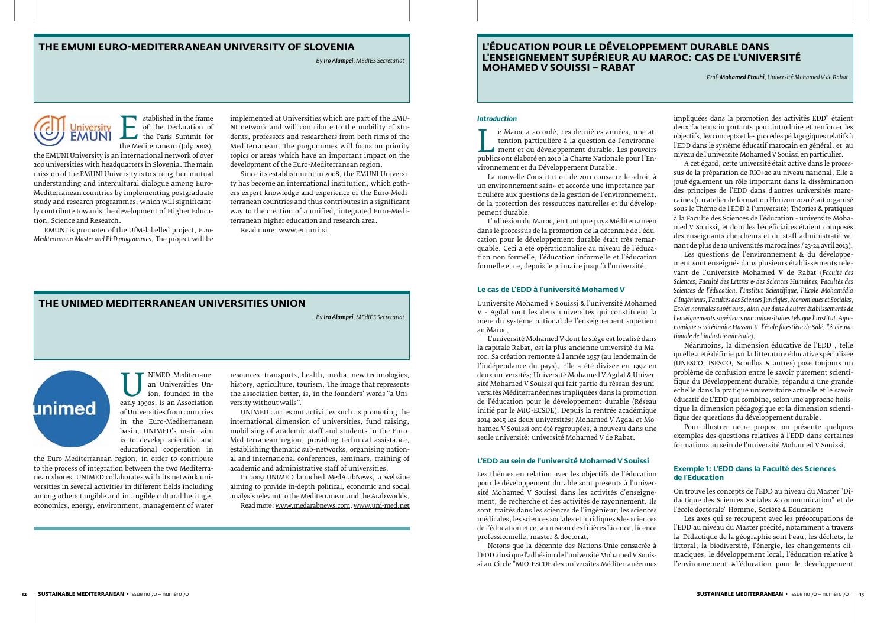#### **the EMUNI Euro-Mediterranean University of Slovenia**

*By Iro Alampei, MEdIES Secretariat*

Established in the Hame<br>of the Declaration of<br>the Mediterranean (July 2008),<br>international network of over of the Declaration of the Paris Summit for the Mediterranean (July 2008),

#### **The UNIMED Mediterranean Universities Union**

*By Iro Alampei, MEdIES Secretariat*



the EMUNI University is an international network of over 200 universities with headquarters in Slovenia. The main mission of the EMUNI University is to strengthen mutual understanding and intercultural dialogue among Euro-Mediterranean countries by implementing postgraduate study and research programmes, which will significantly contribute towards the development of Higher Education, Science and Research.

EMUNI is promoter of the UfM-labelled project, *Euro-Mediterranean Master and PhD programmes*. The project will be

> INIMED, Mediterrane-<br>
> an Universities Union, founded in the<br>
> early 1990s, is an Association<br>
> of Universities from countries an Universities Union, founded in the of Universities from countries in the Euro-Mediterranean basin. UNIMED's main aim is to develop scientific and educational cooperation in

implemented at Universities which are part of the EMU-NI network and will contribute to the mobility of students, professors and researchers from both rims of the Mediterranean. The programmes will focus on priority topics or areas which have an important impact on the development of the Euro-Mediterranean region.

Since its establishment in 2008, the EMUNI University has become an international institution, which gathers expert knowledge and experience of the Euro-Mediterranean countries and thus contributes in a significant way to the creation of a unified, integrated Euro-Mediterranean higher education and research area.

Read more: www.emuni.si

e Maroc a accordé, ces dernières années, une at-<br>tention particulière à la question de l'environne-<br>ment et du développement durable. Les pouvoirs<br>publics ont élaboré en 2010 la Charte Nationale pour l'En-<br>vironnement et d tention particulière à la question de l'environnement et du développement durable. Les pouvoirs vironnement et du Développement Durable.

the Euro-Mediterranean region, in order to contribute to the process of integration between the two Mediterranean shores. UNIMED collaborates with its network universities in several activities in different fields including among others tangible and intangible cultural heritage, economics, energy, environment, management of water

resources, transports, health, media, new technologies, history, agriculture, tourism. The image that represents the association better, is, in the founders' words "a University without walls".

UNIMED carries out activities such as promoting the international dimension of universities, fund raising, mobilising of academic staff and students in the Euro-Mediterranean region, providing technical assistance, establishing thematic sub-networks, organising national and international conferences, seminars, training of academic and administrative staff of universities.

In 2009 UNIMED launched MedArabNews, a webzine aiming to provide in-depth political, economic and social analysis relevant to the Mediterranean and the Arab worlds. Read more: www.medarabnews.com, www.uni-med.net

#### **L'éducation pour le Développement durable dans l'enseignement supérieur au Maroc: Cas de l'université Mohamed V Souissi – Rabat**

*Prof. Mohamed Ftouhi, Université Mohamed V de Rabat*

#### *Introduction*

La nouvelle Constitution de 2011 consacre le «droit à un environnement sain» et accorde une importance particulière aux questions de la gestion de l'environnement, de la protection des ressources naturelles et du développement durable.

L'adhésion du Maroc, en tant que pays Méditerranéen dans le processus de la promotion de la décennie de l'éducation pour le développement durable était très remarquable. Ceci a été opérationnalisé au niveau de l'éducation non formelle, l'éducation informelle et l'éducation formelle et ce, depuis le primaire jusqu'à l'université.

#### **Le cas de L'EDD à l'université Mohamed V**

L'université Mohamed V Souissi & l'université Mohamed V - Agdal sont les deux universités qui constituent la mère du système national de l'enseignement supérieur au Maroc.

L'université Mohamed V dont le siège est localisé dans la capitale Rabat, est la plus ancienne université du Maroc. Sa création remonte à l'année 1957 (au lendemain de l'indépendance du pays). Elle a été divisée en 1992 en deux universités: Université Mohamed V Agdal & Université Mohamed V Souissi qui fait partie du réseau des universités Méditerranéennes impliquées dans la promotion de l'éducation pour le développement durable (Réseau initié par le MIO-ECSDE). Depuis la rentrée académique 2014-2015 les deux universités: Mohamed V Agdal et Mohamed V Souissi ont été regroupées, à nouveau dans une seule université: université Mohamed V de Rabat.

#### **L'EDD au sein de l'université Mohamed V Souissi**

Les thèmes en relation avec les objectifs de l'éducation pour le développement durable sont présents à l'université Mohamed V Souissi dans les activités d'enseignement, de recherche et des activités de rayonnement. Ils sont traités dans les sciences de l'ingénieur, les sciences médicales, les sciences sociales et juridiques &les sciences de l'éducation et ce, au niveau des filières Licence, licence professionnelle, master & doctorat.

Notons que la décennie des Nations-Unie consacrée à l'EDD ainsi que l'adhésion de l'université Mohamed V Souissi au Circle "MIO-ESCDE des universités Méditerranéennes

impliquées dans la promotion des activités EDD" étaient deux facteurs importants pour introduire et renforcer les objectifs, les concepts et les procédés pédagogiques relatifs à l'EDD dans le système éducatif marocain en général, et au niveau de l'université Mohamed V Souissi en particulier.

A cet égard, cette université était active dans le processus de la préparation de RIO+20 au niveau national. Elle a joué également un rôle important dans la dissémination des principes de l'EDD dans d'autres universités marocaines (un atelier de formation Horizon 2020 était organisé sous le Thème de l'EDD à l'université: Théories & pratiques à la Faculté des Sciences de l'éducation - université Mohamed V Souissi, et dont les bénéficiaires étaient composés des enseignants chercheurs et du staff administratif venant de plus de 10 universités marocaines / 23-24 avril 2013).

Les questions de l'environnement & du développement sont enseignés dans plusieurs établissements relevant de l'université Mohamed V de Rabat (*Faculté des Sciences, Faculté des Lettres & des Sciences Humaines, Facultés des Sciences de l'éducation, l'Institut Scientifique, l'Ecole Mohamédia d'Ingénieurs, Facultés des Sciences Juridiqies, économiques et Sociales, Ecoles normales supérieurs , ainsi que dans d'autres établissements de l'enseignements supérieurs non universitaires tels que l'Institut Agronomique & vétérinaire Hassan II, l'école forestière de Salé, l'école nationale de l'industrie minérale*).

Néanmoins, la dimension éducative de l'EDD , telle qu'elle a été définie par la littérature éducative spécialisée (UNESCO, ISESCO, Scoullos & autres) pose toujours un problème de confusion entre le savoir purement scientifique du Développement durable, répandu à une grande échelle dans la pratique universitaire actuelle et le savoir éducatif de L'EDD qui combine, selon une approche holistique la dimension pédagogique et la dimension scientifique des questions du développement durable.

Pour illustrer notre propos, on présente quelques exemples des questions relatives à l'EDD dans certaines formations au sein de l'université Mohamed V Souissi.

#### **Exemple : L'EDD dans la Faculté des Sciences de l'Education**

On trouve les concepts de l'EDD au niveau du Master "Didactique des Sciences Sociales & communication" et de l'école doctorale" Homme, Société & Education:

Les axes qui se recoupent avec les préoccupations de l'EDD au niveau du Master précité, notamment à travers la Didactique de la géographie sont l'eau, les déchets, le littoral, la biodiversité, l'énergie, les changements climaciques, le développement local, l'éducation relative à l'environnement &l'éducation pour le développement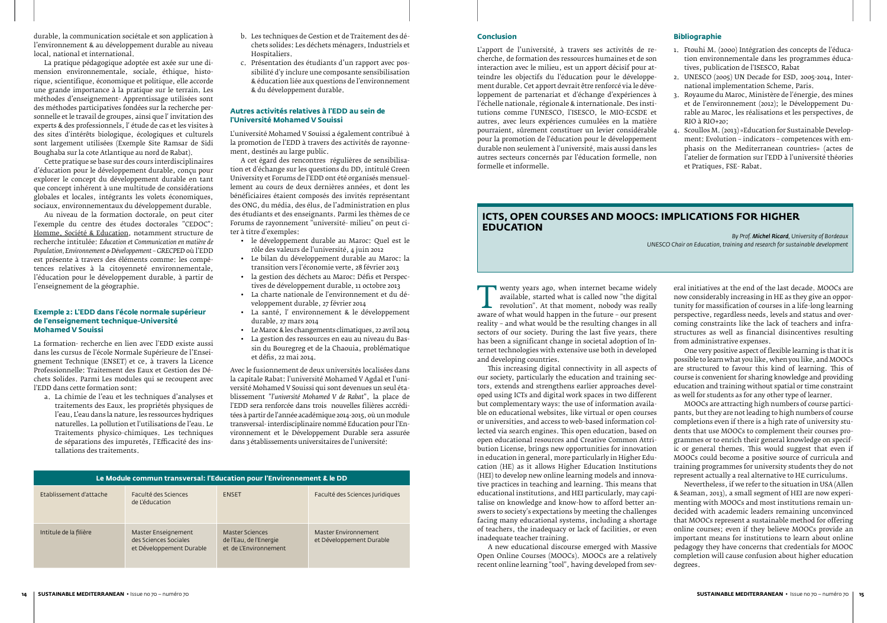durable, la communication sociétale et son application à l'environnement & au développement durable au niveau local, national et international.

La pratique pédagogique adoptée est axée sur une dimension environnementale, sociale, éthique, historique, scientifique, économique et politique, elle accorde une grande importance à la pratique sur le terrain. Les méthodes d'enseignement- Apprentissage utilisées sont des méthodes participatives fondées sur la recherche personnelle et le travail de groupes, ainsi que l' invitation des experts & des professionnels, l' étude de cas et les visites à des sites d'intérêts biologique, écologiques et culturels sont largement utilisées (Exemple Site Ramsar de Sidi Boughaba sur la cote Atlantique au nord de Rabat).

Cette pratique se base sur des cours interdisciplinaires d'éducation pour le développement durable, conçu pour explorer le concept du développement durable en tant que concept inhérent à une multitude de considérations globales et locales, intégrants les volets économiques, sociaux, environnementaux du développement durable.

Au niveau de la formation doctorale, on peut citer l'exemple du centre des études doctorales "CEDOC": Homme, Société & Education, notamment structure de recherche intitulée: *Education et Communication en matière de Population, Environnement & Développement – GRECPED* où l'EDD est présente à travers des éléments comme: les compétences relatives à la citoyenneté environnementale, l'éducation pour le développement durable, à partir de l'enseignement de la géographie.

#### **Exemple 2: L'EDD dans l'école normale supérieur de l'enseignement technique-Université Mohamed V Souissi**

La formation- recherche en lien avec l'EDD existe aussi dans les cursus de l'école Normale Supérieure de l'Enseignement Technique (ENSET) et ce, à travers la Licence Professionnelle: Traitement des Eaux et Gestion des Déchets Solides. Parmi Les modules qui se recoupent avec l'EDD dans cette formation sont:

a. La chimie de l'eau et les techniques d'analyses et traitements des Eaux, les propriétés physiques de l'eau, L'eau dans la nature, les ressources hydriques naturelles. La pollution et l'utilisations de l'eau. Le Traitements physico-chimiques. Les techniques de séparations des impuretés, l'Efficacité des installations des traitements.

- b. Les techniques de Gestion et de Traitement des déchets solides: Les déchets ménagers, Industriels et Hospitaliers.
- c. Présentation des étudiants d'un rapport avec possibilité d'y inclure une composante sensibilisation & éducation liée aux questions de l'environnement & du développement durable.

#### **Autres activités relatives à l'EDD au sein de l'Université Mohamed V Souissi**

T wenty years ago, when internet became widely<br>
available, started what is called now "the digital<br>
revolution". At that moment, nobody was really<br>
aware of what would happen in the future – our present<br>
reality – and what available, started what is called now "the digital revolution". At that moment, nobody was really reality – and what would be the resulting changes in all sectors of our society. During the last five years, there has been a significant change in societal adoption of Internet technologies with extensive use both in developed and developing countries.

L'université Mohamed V Souissi a également contribué à la promotion de l'EDD à travers des activités de rayonnement, destinés au large public.

A cet égard des rencontres régulières de sensibilisation et d'échange sur les questions du DD, intitulé Green University et Forums de l'EDD ont été organisés mensuellement au cours de deux dernières années, et dont les bénéficiaires étaient composés des invités représentant des ONG, du média, des élus, de l'administration en plus des étudiants et des enseignants. Parmi les thèmes de ce Forums de rayonnement "université- milieu" on peut citer à titre d'exemples:

- • le développement durable au Maroc: Quel est le rôle des valeurs de l'université, 4 juin 2012
- • Le bilan du développement durable au Maroc: la transition vers l'économie verte, 28 février 2013
- • la gestion des déchets au Maroc: Défis et Perspectives de développement durable, 11 octobre 2013
- • La charte nationale de l'environnement et du développement durable, 27 février 2014
- • La santé, l' environnement & le développement durable, 27 mars 2014
- • LeMaroc & les changements climatiques, 22 avril 2014 • La gestion des ressources en eau au niveau du Bas-
- sin du Bouregreg et de la Chaouia, problématique et défis, 22 mai 2014.

Avec le fusionnement de deux universités localisées dans la capitale Rabat: l'université Mohamed V Agdal et l'université Mohamed V Souissi qui sont devenues un seul établissement "*l'université Mohamed V de Rabat*", la place de l'EDD sera renforcée dans trois nouvelles filières accréditées à partir de l'année académique 2014-2015, où un module transversal- interdisciplinaire nommé Education pour l'Environnement et le Développement Durable sera assurée dans 3 établissements universitaires de l'université:

| Le Module commun transversal: l'Education pour l'Environnement & le DD |                                                                          |                                                                    |                                                  |  |  |
|------------------------------------------------------------------------|--------------------------------------------------------------------------|--------------------------------------------------------------------|--------------------------------------------------|--|--|
| Etablissement d'attache                                                | Faculté des Sciences<br>de L'éducation                                   | <b>FNSFT</b>                                                       | Faculté des Sciences Juridiques                  |  |  |
| Intitule de la filière                                                 | Master Enseignement<br>des Sciences Sociales<br>et Développement Durable | Master Sciences<br>de l'Eau, de l'Energie<br>et de L'Environnement | Master Environnement<br>et Développement Durable |  |  |

#### **ICTs, open courses and MOOCs: Implications for Higher Education**

*By Prof. Michel Ricard, University of Bordeaux UNESCO Chair on Education, training and research for sustainable development*

This increasing digital connectivity in all aspects of our society, particularly the education and training sectors, extends and strengthens earlier approaches developed using ICTs and digital work spaces in two different but complementary ways: the use of information available on educational websites, like virtual or open courses or universities, and access to web-based information collected via search engines. This open education, based on open educational resources and Creative Common Attribution License, brings new opportunities for innovation in education in general, more particularly in Higher Education (HE) as it allows Higher Education Institutions (HEI) to develop new online learning models and innovative practices in teaching and learning. This means that educational institutions, and HEI particularly, may capitalise on knowledge and know-how to afford better answers to society's expectations by meeting the challenges facing many educational systems, including a shortage of teachers, the inadequacy or lack of facilities, or even inadequate teacher training.

A new educational discourse emerged with Massive Open Online Courses (MOOCs). MOOCs are a relatively recent online learning "tool", having developed from sev-

eral initiatives at the end of the last decade. MOOCs are now considerably increasing in HE as they give an opportunity for massification of courses in a life-long learning perspective, regardless needs, levels and status and overcoming constraints like the lack of teachers and infrastructures as well as financial disincentives resulting from administrative expenses.

One very positive aspect of flexible learning is that it is possible to learn what you like, when you like, and MOOCs are structured to favour this kind of learning. This of course is convenient for sharing knowledge and providing education and training without spatial or time constraint as well for students as for any other type of learner.

MOOCs are attracting high numbers of course participants, but they are not leading to high numbers of course completions even if there is a high rate of university students that use MOOCs to complement their courses programmes or to enrich their general knowledge on specific or general themes. This would suggest that even if MOOCs could become a positive source of curricula and training programmes for university students they do not represent actually a real alternative to HE curriculums.

Nevertheless, if we refer to the situation in USA (Allen & Seaman, 2013), a small segment of HEI are now experimenting with MOOCs and most institutions remain undecided with academic leaders remaining unconvinced that MOOCs represent a sustainable method for offering online courses; even if they believe MOOCs provide an important means for institutions to learn about online pedagogy they have concerns that credentials for MOOC completion will cause confusion about higher education degrees.

#### **Conclusion**

L'apport de l'université, à travers ses activités de recherche, de formation des ressources humaines et de son interaction avec le milieu, est un apport décisif pour atteindre les objectifs du l'éducation pour le développement durable. Cet apport devrait être renforcé via le développement de partenariat et d'échange d'expériences à l'échelle nationale, régionale & internationale. Des institutions comme l'UNESCO, l'ISESCO, le MIO-ECSDE et autres, avec leurs expériences cumulées en la matière pourraient, sûrement constituer un levier considérable pour la promotion de l'éducation pour le développement durable non seulement à l'université, mais aussi dans les autres secteurs concernés par l'éducation formelle, non formelle et informelle.

#### **Bibliographie**

- 1. Ftouhi M. (2000) Intégration des concepts de l'éducation environnementale dans les programmes éducatives, publication de l'ISESCO, Rabat
- 2. UNESCO (2005) UN Decade for ESD, 2005-2014, International implementation Scheme, Paris.
- 3. Royaume du Maroc, Ministère de l'énergie, des mines et de l'environnement (2012); le Développement Durable au Maroc, les réalisations et les perspectives, de RIO à RIO+20;
- 4. Scoullos M. (2013) «Education for Sustainable Development: Evolution – indicators – competences with emphasis on the Mediterranean countries» (actes de l'atelier de formation sur l'EDD à l'université théories et Pratiques, FSE- Rabat.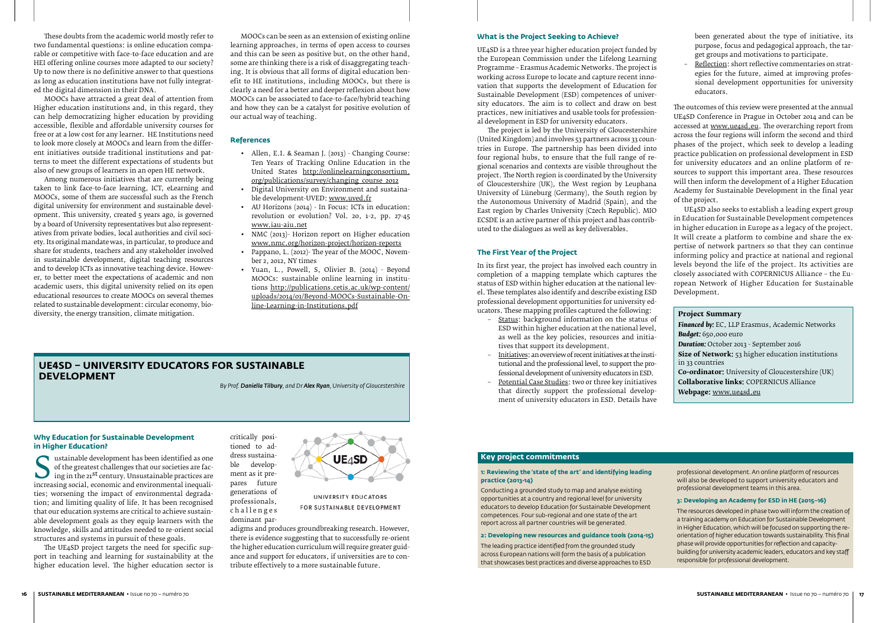#### **UE4SD – University Educators for Sustainable Development**

*By Prof. Daniella Tilbury, and Dr Alex Ryan, University of Gloucestershire* 

## **Why Education for Sustainable Development**

**in Higher Education?**<br>**a** ustainable development has been identified as one of the greatest challenges that our societies are facing in the 21<sup>st</sup> century. Unsustainable practices are increasing social, economic and environmental inequalities: worsening the impact of environmental degradaof the greatest challenges that our societies are facing in the 21st century. Unsustainable practices are increasing social, economic and environmental inequalities; worsening the impact of environmental degradation; and limiting quality of life. It has been recognised that our education systems are critical to achieve sustainable development goals as they equip learners with the knowledge, skills and attitudes needed to re-orient social structures and systems in pursuit of these goals.

The UE4SD project targets the need for specific support in teaching and learning for sustainability at the higher education level. The higher education sector is

critically positioned to address sustaina-<br>ble developdevelopment as it prepares future generations of professionals, challenges dominant par-



UNIVERSITY EDUCATORS FOR SUSTAINABLE DEVELOPMENT

adigms and produces groundbreaking research. However, there is evidence suggesting that to successfully re-orient the higher education curriculum will require greater guidance and support for educators, if universities are to contribute effectively to a more sustainable future.

These doubts from the academic world mostly refer to two fundamental questions: is online education comparable or competitive with face-to-face education and are HEI offering online courses more adapted to our society? Up to now there is no definitive answer to that questions as long as education institutions have not fully integrated the digital dimension in their DNA.

MOOCs have attracted a great deal of attention from Higher education institutions and, in this regard, they can help democratizing higher education by providing accessible, flexible and affordable university courses for free or at a low cost for any learner. HE Institutions need to look more closely at MOOCs and learn from the different initiatives outside traditional institutions and patterns to meet the different expectations of students but also of new groups of learners in an open HE network.

- Allen, E.I. & Seaman J. (2013) Changing Course: Ten Years of Tracking Online Education in the United States http://onlinelearningconsortium. org/publications/survey/changing\_course\_2012
- • Digital University on Environment and sustainable development-UVED: www.uved.fr
- • AU Horizons (2014) In Focus: ICTs in education: revolution or evolution? Vol. 20, 1-2, pp. 27-45 www.iau-aiu.net
- NMC (2013)- Horizon report on Higher education www.nmc.org/horizon-project/horizon-reports
- • Pappano, L. (2012)- The year of the MOOC, November 2, 2012, NY times
- • Yuan, L., Powell, S, Olivier B. (2014) Beyond MOOCs: sustainable online learning in institutions http://publications.cetis.ac.uk/wp-content/ uploads/2014/01/Beyond-MOOCs-Sustainable-Online-Learning-in-Institutions.pdf

Among numerous initiatives that are currently being taken to link face-to-face learning, ICT, eLearning and MOOCs, some of them are successful such as the French digital university for environment and sustainable development. This university, created 5 years ago, is governed by a board of University representatives but also representatives from private bodies, local authorities and civil society. Its original mandate was, in particular, to produce and share for students, teachers and any stakeholder involved in sustainable development, digital teaching resources and to develop ICTs as innovative teaching device. However, to better meet the expectations of academic and non academic users, this digital university relied on its open educational resources to create MOOCs on several themes related to sustainable development: circular economy, biodiversity, the energy transition, climate mitigation.

MOOCs can be seen as an extension of existing online learning approaches, in terms of open access to courses and this can be seen as positive but, on the other hand, some are thinking there is a risk of disaggregating teaching. It is obvious that all forms of digital education benefit to HE institutions, including MOOCs, but there is clearly a need for a better and deeper reflexion about how MOOCs can be associated to face-to-face/hybrid teaching and how they can be a catalyst for positive evolution of our actual way of teaching.

#### **References**

**Size of Network:** 53 higher education institutions in 33 countries

#### **What is the Project Seeking to Achieve?**

UE4SD is a three year higher education project funded by the European Commission under the Lifelong Learning Programme – Erasmus Academic Networks. The project is working across Europe to locate and capture recent innovation that supports the development of Education for Sustainable Development (ESD) competences of university educators. The aim is to collect and draw on best practices, new initiatives and usable tools for professional development in ESD for university educators.

The project is led by the University of Gloucestershire (United Kingdom) and involves 53 partners across 33 countries in Europe. The partnership has been divided into four regional hubs, to ensure that the full range of regional scenarios and contexts are visible throughout the project. The North region is coordinated by the University of Gloucestershire (UK), the West region by Leuphana University of Lüneburg (Germany), the South region by the Autonomous University of Madrid (Spain), and the East region by Charles University (Czech Republic). MIO ECSDE is an active partner of this project and has contributed to the dialogues as well as key deliverables.

#### **The First Year of the Project**

In its first year, the project has involved each country in completion of a mapping template which captures the status of ESD within higher education at the national level. These templates also identify and describe existing ESD professional development opportunities for university educators. These mapping profiles captured the following:

- Status: background information on the status of ESD within higher education at the national level, as well as the key policies, resources and initiatives that support its development.
- Initiatives: an overview of recent initiatives at the institutional and the professional level, to support the professional development of university educators in ESD.
- Potential Case Studies: two or three key initiatives that directly support the professional development of university educators in ESD. Details have

been generated about the type of initiative, its purpose, focus and pedagogical approach, the target groups and motivations to participate.

– Reflection: short reflective commentaries on strategies for the future, aimed at improving professional development opportunities for university educators.

The outcomes of this review were presented at the annual UE4SD Conference in Prague in October 2014 and can be accessed at www.ue4sd.eu. The overarching report from across the four regions will inform the second and third phases of the project, which seek to develop a leading practice publication on professional development in ESD for university educators and an online platform of resources to support this important area. These resources will then inform the development of a Higher Education Academy for Sustainable Development in the final year of the project.

UE4SD also seeks to establish a leading expert group in Education for Sustainable Development competences in higher education in Europe as a legacy of the project. It will create a platform to combine and share the expertise of network partners so that they can continue informing policy and practice at national and regional levels beyond the life of the project. Its activities are closely associated with COPERNICUS Alliance – the European Network of Higher Education for Sustainable Development.

#### **Project Summary**

*Financed by:* EC, LLP Erasmus, Academic Networks *Budget:* 650,000 euro

*Duration:* October 2013 - September 2016

**Co-ordinator:** University of Gloucestershire (UK) **Collaborative links:** COPERNICUS Alliance **Webpage:** www.ue4sd.eu

#### **Key project commitments**

#### **1: Reviewing the 'state of the art' and identifying leading practice (2013-14)**

Conducting a grounded study to map and analyse existing opportunities at a country and regional level for university educators to develop Education for Sustainable Development competences. Four sub-regional and one state of the art report across all partner countries will be generated.

#### **2: Developing new resources and guidance tools (2014-15)**

The leading practice identified from the grounded study across European nations will form the basis of a publication that showcases best practices and diverse approaches to ESD professional development. An online platform of resources will also be developed to support university educators and professional development teams in this area.

#### **3: Developing an Academy for ESD in HE (2015–16)**

The resources developed in phase two will inform the creation of a training academy on Education for Sustainable Development in Higher Education, which will be focused on supporting the reorientation of higher education towards sustainability. This final phase will provide opportunities for reflection and capacitybuilding for university academic leaders, educators and key staff responsible for professional development.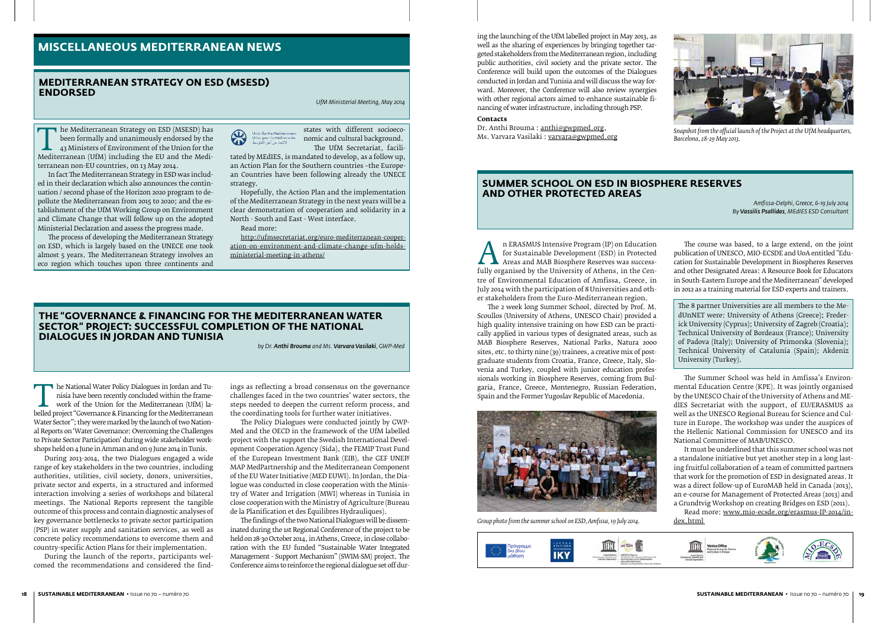The Mediterranean Strategy on ESD (MSESD) has<br>
been formally and unanimously endorsed by the<br>
43 Ministers of Environment of the Union for the<br>
Mediterranean non-EU countries on 12 May 2014 been formally and unanimously endorsed by the 43 Ministers of Environment of the Union for the terranean non-EU countries, on 13 May 2014.

In fact The Mediterranean Strategy in ESD was included in their declaration which also announces the continuation / second phase of the Horizon 2020 program to depollute the Mediterranean from 2015 to 2020; and the establishment of the UfM Working Group on Environment and Climate Change that will follow up on the adopted Ministerial Declaration and assess the progress made.

The process of developing the Mediterranean Strategy on ESD, which is largely based on the UNECE one took almost 5 years. The Mediterranean Strategy involves an eco region which touches upon three continents and



states with different socioeconomic and cultural background. The UfM Secretariat, facili-

tated by MEdIES, is mandated to develop, as a follow up, an Action Plan for the Southern countries –the European Countries have been following already the UNECE strategy.

T he National Water Policy Dialogues in Jordan and Tu-<br>
isia have been recently concluded within the frame-<br>
work of the Union for the Mediterranean (UfM) la-<br>
belled project "Governance & Financing for the Mediterranean<br> nisia have been recently concluded within the framework of the Union for the Mediterranean (UfM) la-Water Sector"; they were marked by the launch of two National Reports on 'Water Governance: Overcoming the Challenges to Private Sector Participation' during wide stakeholder workshops held on 4 June in Amman and on 9 June 2014 in Tunis.

Hopefully, the Action Plan and the implementation of the Mediterranean Strategy in the next years will be a clear demonstration of cooperation and solidarity in a North - South and East - West interface.

Read more:

http://ufmsecretariat.org/euro-mediterranean-cooperation-on-environment-and-climate-change-ufm-holdsministerial-meeting-in-athens/

#### **Mediterranean Strategy on ESD (MSESD) endorsed**

*UfM Ministerial Meeting, May 2014*

### **MISCELLANEOUS MEDITERRANEAN NEWS**

#### **the "Governance & Financing for the Mediterranean Water Sector" Project: Successful Completion of the National Dialogues in Jordan and Tunisia**

*by Dr. Anthi Brouma and Ms. Varvara Vasilaki, GWP-Med*

THERASMUS INTENSIVE Program (IP) on Education<br>for Sustainable Development (ESD) in Protected<br>fully organised by the University of Athens, in the Cen-<br>tre of Environmental Education of Amfissa. Greece, in for Sustainable Development (ESD) in Protected Areas and MAB Biosphere Reserves was successfully organised by the University of Athens, in the Centre of Environmental Education of Amfissa, Greece, in July 2014 with the participation of 8 Universities and other stakeholders from the Euro-Mediterranean region.

During 2013-2014, the two Dialogues engaged a wide range of key stakeholders in the two countries, including authorities, utilities, civil society, donors, universities, private sector and experts, in a structured and informed interaction involving a series of workshops and bilateral meetings. The National Reports represent the tangible outcome of this process and contain diagnostic analyses of key governance bottlenecks to private sector participation (PSP) in water supply and sanitation services, as well as concrete policy recommendations to overcome them and country-specific Action Plans for their implementation.

During the launch of the reports, participants welcomed the recommendations and considered the find-

It must be underlined that this summer school was not a standalone initiative but yet another step in a long lasting fruitful collaboration of a team of committed partners that work for the promotion of ESD in designated areas. It was a direct follow-up of EuroMAB held in Canada (2013), an e-course for Management of Protected Areas (2013) and a Grundtvig Workshop on creating Bridges on ESD (2011).

ings as reflecting a broad consensus on the governance challenges faced in the two countries' water sectors, the steps needed to deepen the current reform process, and the coordinating tools for further water initiatives.

The Policy Dialogues were conducted jointly by GWP-Med and the OECD in the framework of the UfM labelled project with the support the Swedish International Development Cooperation Agency (Sida), the FEMIP Trust Fund of the European Investment Bank (EIB), the GEF UNEP/ MAP MedPartnership and the Mediterranean Component of the EU Water Initiative (MED EUWI). In Jordan, the Dialogue was conducted in close cooperation with the Ministry of Water and Irrigation (MWI) whereas in Tunisia in close cooperation with the Ministry of Agriculture (Bureau de la Planification et des Équilibres Hydrauliques).

Dr. Anthi Brouma : anthi@gwpmed.org, Ms. Varvara Vasilaki : varvara@gwpmed.org

The findings of the two National Dialogues will be disseminated during the 1st Regional Conference of the project to be held on 28-30 October 2014, in Athens, Greece, in close collaboration with the EU funded "Sustainable Water Integrated Management - Support Mechanism" (SWIM-SM) project. The Conference aims to reinforce the regional dialogue set off dur-

The 2 week long Summer School, directed by Prof. M. Scoullos (University of Athens, UNESCO Chair) provided a high quality intensive training on how ESD can be practically applied in various types of designated areas, such as MAB Biosphere Reserves, National Parks, Natura 2000 sites, etc. to thirty nine (39) trainees, a creative mix of postgraduate students from Croatia, France, Greece, Italy, Slovenia and Turkey, coupled with junior education professionals working in Biosphere Reserves, coming from Bulgaria, France, Greece, Montenegro, Russian Federation, Spain and the Former Yugoslav Republic of Macedonia.

The course was based, to a large extend, on the joint publication of UNESCO, MIO-ECSDE and UoA entitled "Education for Sustainable Development in Biospheres Reserves and other Designated Areas: A Resource Book for Educators in South-Eastern Europe and the Mediterranean" developed in 2012 as a training material for ESD experts and trainers.

The 8 partner Universities are all members to the MedUnNET were: University of Athens (Greece); Frederick University (Cyprus); University of Zagreb (Croatia); Technical University of Bordeaux (France); University of Padova (Italy); University of Primorska (Slovenia); Technical University of Catalunia (Spain); Akdeniz University (Turkey).

The Summer School was held in Amfissa's Environmental Education Centre (KPE). It was jointly organised by the UNESCO Chair of the University of Athens and MEdIES Secretariat with the support, of EU/ERASMUS as well as the UNESCO Regional Bureau for Science and Culture in Europe. The workshop was under the auspices of the Hellenic National Commission for UNESCO and its National Committee of MAB/UNESCO.

Read more: www.mio-ecsde.org/erasmus-IP-2014/index.html



#### **Summer School on ESD in Biosphere Reserves and other Protected Areas**

*Amfissa-Delphi, Greece, 6-19 July 2014 By Vassilis Psallidas, MEdIES ESD Consultant*

ing the launching of the UfM labelled project in May 2013, as well as the sharing of experiences by bringing together targeted stakeholders from the Mediterranean region, including public authorities, civil society and the private sector. The Conference will build upon the outcomes of the Dialogues conducted in Jordan and Tunisia and will discuss the way forward. Moreover, the Conference will also review synergies with other regional actors aimed to enhance sustainable financing of water infrastructure, including through PSP.

#### **Contacts**



*Group photo from the summer school on ESD, Amfissa, 19 July 2014.*





*Snapshot from the official launch of the Project at the UfM headquarters, Barcelona, 28-29 May 2013.*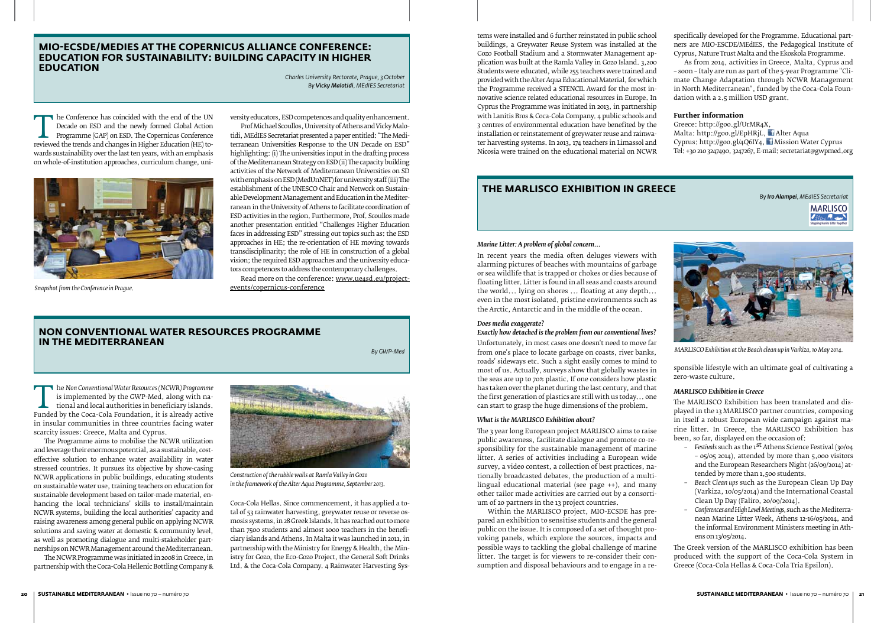#### *Marine Litter: A problem of global concern...*

In recent years the media often deluges viewers with alarming pictures of beaches with mountains of garbage or sea wildlife that is trapped or chokes or dies because of floating litter. Litter is found in all seas and coasts around the world... lying on shores ... floating at any depth... even in the most isolated, pristine environments such as the Arctic, Antarctic and in the middle of the ocean.

#### *Does media exaggerate?*

#### *Exactly how detached is the problem from our conventional lives?*

Unfortunately, in most cases one doesn't need to move far from one's place to locate garbage on coasts, river banks, roads' sideways etc. Such a sight easily comes to mind to most of us. Actually, surveys show that globally wastes in the seas are up to 70% plastic. If one considers how plastic has taken over the planet during the last century, and that the first generation of plastics are still with us today... one can start to grasp the huge dimensions of the problem.

#### *What is the MARLISCO Exhibition about?*

The 3 year long European project MARLISCO aims to raise public awareness, facilitate dialogue and promote co-responsibility for the sustainable management of marine litter. A series of activities including a European wide survey, a video contest, a collection of best practices, nationally broadcasted debates, the production of a multilingual educational material (see page ++), and many other tailor made activities are carried out by a consortium of 20 partners in the 13 project countries.

Within the MARLISCO project, MIO-ECSDE has prepared an exhibition to sensitise students and the general public on the issue. It is composed of a set of thought provoking panels, which explore the sources, impacts and possible ways to tackling the global challenge of marine litter. The target is for viewers to re-consider their consumption and disposal behaviours and to engage in a re-

The Conference has coincided with the end of the UN<br>
Decade on ESD and the newly formed Global Action<br>
Programme (GAP) on ESD. The Copernicus Conference<br>
reviewed the trends and changes in Higher Education (HE) to-<br>
wards Decade on ESD and the newly formed Global Action Programme (GAP) on ESD. The Copernicus Conference wards sustainability over the last ten years, with an emphasis on whole-of-institution approaches, curriculum change, uni-

> sponsible lifestyle with an ultimate goal of cultivating a zero-waste culture.

#### *MARLISCO Exhibition in Greece*

The MARLISCO Exhibition has been translated and displayed in the 13 MARLISCO partner countries, composing in itself a robust European wide campaign against marine litter. In Greece, the MARLISCO Exhibition has been, so far, displayed on the occasion of:

Read more on the conference: www.ue4sd.eu/projectevents/copernicus-conference

The *Non Conventional Water Resources (NCWR) Programme*<br>is implemented by the GWP-Med, along with na-<br>tional and local authorities in beneficiary islands.<br>Funded by the Coca-Cola Foundation, it is already active<br>in insular is implemented by the GWP-Med, along with national and local authorities in beneficiary islands. Funded by the Coca-Cola Foundation, it is already active in insular communities in three countries facing water scarcity issues: Greece, Malta and Cyprus.

- *– Festivals* such as the 1st Athens Science Festival (30/04 – 05/05 2014), attended by more than 5,000 visitors and the European Researchers Night (26/09/2014) attended by more than 1,500 students.
- *– Beach Clean ups* such as the European Clean Up Day (Varkiza, 10/05/2014) and the International Coastal Clean Up Day (Faliro, 20/09/2014).
- *– Conferences and High Level Meetings,* such as the Mediterranean Marine Litter Week, Athens 12-16/05/2014, and the informal Environment Ministers meeting in Athens on 13/05/2014.

The Greek version of the MARLISCO exhibition has been produced with the support of the Coca-Cola System in Greece (Coca-Cola Hellas & Coca-Cola Tria Epsilon).

#### **MIO-ECSDE/MEdIES at the Copernicus Alliance Conference: Education for Sustainability: Building Capacity in Higher Education**

*Charles University Rectorate, Prague, 3 October By Vicky Malotidi, MEdIES Secretariat*

### **Non Conventional Water Resources Programme in the Mediterranean**

*By GWP-Med*

versity educators, ESD competences and quality enhancement.

Prof Michael Scoullos, University of Athens and Vicky Malotidi, MEdIES Secretariat presented a paper entitled: "The Mediterranean Universities Response to the UN Decade on ESD" highlighting: (i) The universities input in the drafting process of the Mediterranean Strategy on ESD (ii) The capacity building activities of the Network of Mediterranean Universities on SD with emphasis on ESD (MedUnNET) for university staff (iii) The establishment of the UNESCO Chair and Network on Sustainable Development Management and Education in the Mediterranean in the University of Athens to facilitate coordination of ESD activities in the region. Furthermore, Prof. Scoullos made another presentation entitled "Challenges Higher Education faces in addressing ESD" stressing out topics such as: the ESD approaches in HE; the re-orientation of HE moving towards transdisciplinarity; the role of HE in construction of a global vision; the required ESD approaches and the university educators competences to address the contemporary challenges.

The Programme aims to mobilise the NCWR utilization and leverage their enormous potential, as a sustainable, costeffective solution to enhance water availability in water stressed countries. It pursues its objective by show-casing NCWR applications in public buildings, educating students on sustainable water use, training teachers on education for sustainable development based on tailor-made material, enhancing the local technicians' skills to install/maintain NCWR systems, building the local authorities' capacity and raising awareness among general public on applying NCWR solutions and saving water at domestic & community level, as well as promoting dialogue and multi-stakeholder partnerships on NCWR Management around the Mediterranean.

The NCWR Programme was initiated in 2008 in Greece, in partnership with the Coca-Cola Hellenic Bottling Company &

Coca-Cola Hellas. Since commencement, it has applied a total of 53 rainwater harvesting, greywater reuse or reverse osmosis systems, in 28 Greek Islands. It has reached out to more than 7500 students and almost 1000 teachers in the beneficiary islands and Athens. In Malta it was launched in 2011, in partnership with the Ministry for Energy & Health, the Ministry for Gozo, the Eco-Gozo Project, the General Soft Drinks Ltd. & the Coca-Cola Company. 4 Rainwater Harvesting Sys-



 *Snapshot from the Conference in Prague.*



*Construction of the rubble walls at Ramla Valley in Gozo in the framework of the Alter Aqua Programme, September 2013.*



*MARLISCO Exhibition at the Beach clean up in Varkiza, 10 May 2014.*

tems were installed and 6 further reinstated in public school buildings, a Greywater Reuse System was installed at the Gozo Football Stadium and a Stormwater Management application was built at the Ramla Valley in Gozo Island. 3,200 Students were educated, while 255 teachers were trained and provided with the Alter Aqua Educational Material, for which the Programme received a STENCIL Award for the most innovative science related educational resources in Europe. In Cyprus the Programme was initiated in 2013, in partnership with Lanitis Bros & Coca-Cola Company. 4 public schools and 3 centres of environmental education have benefited by the installation or reinstatement of greywater reuse and rainwater harvesting systems. In 2013, 174 teachers in Limassol and Nicosia were trained on the educational material on NCWR

specifically developed for the Programme. Educational partners are MIO-ESCDE/MEdIES, the Pedagogical Institute of Cyprus, Nature Trust Malta and the Ekoskola Programme.

As from 2014, activities in Greece, Malta, Cyprus and – soon – Italy are run as part of the 5-year Programme "Climate Change Adaptation through NCWR Management in North Mediterranean", funded by the Coca-Cola Foundation with a 2.5 million USD grant.

#### **Further information**

Greece: http://goo.gl/UrMR4X, Malta: http://goo.gl/EpHRjL, Alter Aqua Cyprus: http://goo.gl/4Q6IY4, Mission Water Cyprus Tel: +30 210 3247490, 3247267, E-mail: secretariat@gwpmed.org

#### **the MARLISCO Exhibition in Greece**

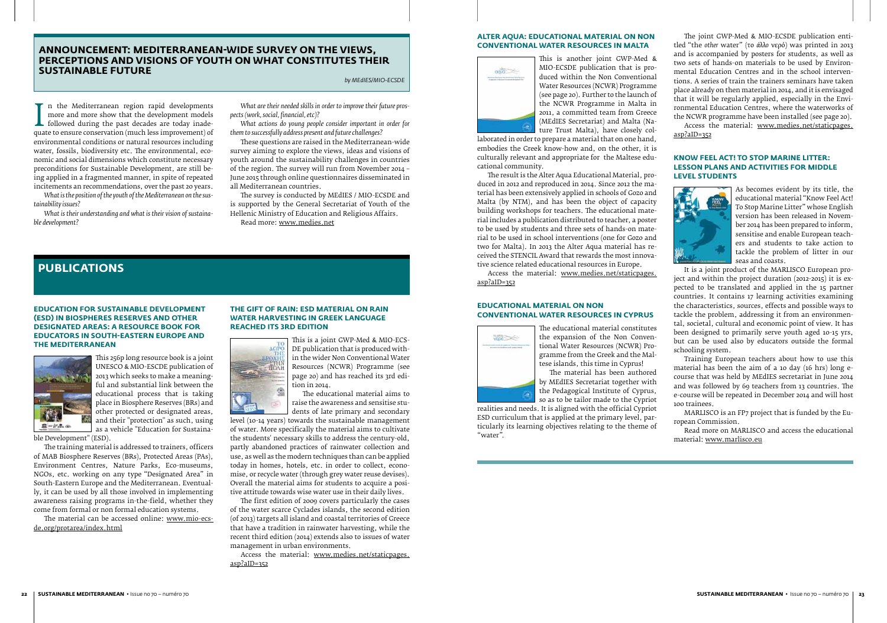#### **ANNOUNCEMENT: MEDITERRANEAN-WIDE SURVEY ON THE VIEWS, PERCEPTIONS AND visions of youth on what constitutes their sustainable future**

*by MEdIES/MIO-ECSDE*

more and more show that the development models<br>followed during the past decades are today inade-<br>quate to ensure conservation (much less improvement) of<br>environmental conditions or natural resources including n the Mediterranean region rapid developments more and more show that the development models **L** followed during the past decades are today inadeenvironmental conditions or natural resources including<br>water, fossils, biodiversity etc. The environmental, ecowater, fossils, biodiversity etc. The environmental, economic and social dimensions which constitute necessary preconditions for Sustainable Development, are still being applied in a fragmented manner, in spite of repeated incitements an recommendations, over the past 20 years.

*What is the position of the youth of the Mediterranean on the sustainability issues?* 

*What is their understanding and what is their vision of sustainable development?* 

*What are their needed skills in order to improve their future prospects (work, social, financial, etc)?*

*What actions do young people consider important in order for them to successfully address present and future challenges?* 

These questions are raised in the Mediterranean-wide survey aiming to explore the views, ideas and visions of youth around the sustainability challenges in countries of the region. The survey will run from November 2014 – June 2015 through online questionnaires disseminated in all Mediterranean countries.

The survey is conducted by MEdIES / MIO-ECSDE and is supported by the General Secretariat of Youth of the Hellenic Ministry of Education and Religious Affairs. Read more: www.medies.net

#### **Education for Sustainable Development (ESD) in Biospheres Reserves and other Designated Areas: A Resource Book for Educators in South-Eastern Europe and the Mediterranean**



This 256p long resource book is a joint UNESCO & MIO-ESCDE publication of 2013 which seeks to make a meaningful and substantial link between the educational process that is taking place in Biosphere Reserves (BRs) and other protected or designated areas, and their "protection" as such, using as a vehicle "Education for Sustaina-

ble Development" (ESD).

The training material is addressed to trainers, officers of MAB Biosphere Reserves (BRs), Protected Areas (PAs), Environment Centres, Nature Parks, Eco-museums, NGOs, etc. working on any type "Designated Area" in South-Eastern Europe and the Mediterranean. Eventually, it can be used by all those involved in implementing awareness raising programs in-the-field, whether they come from formal or non formal education systems.

The material can be accessed online: www.mio-ecsde.org/protarea/index.html

#### **THE GIFT OF RAIN: ESD material on Rain Water Harvesting in Greek language REACHED ITS 3rd Edition**



This is a joint GWP-Med & MIO-ECS-DE publication that is produced within the wider Non Conventional Water Resources (NCWR) Programme (see page 20) and has reached its 3rd edition in 2014. The educational material aims to

raise the awareness and sensitise stu-

dents of late primary and secondary level (10-14 years) towards the sustainable management of water. More specifically the material aims to cultivate the students' necessary skills to address the century-old, partly abandoned practices of rainwater collection and use, as well as the modern techniques than can be applied today in homes, hotels, etc. in order to collect, economise, or recycle water (through grey water reuse devises). Overall the material aims for students to acquire a positive attitude towards wise water use in their daily lives.

The first edition of 2009 covers particularly the cases of the water scarce Cyclades islands, the second edition (of 2013) targets all island and coastal territories of Greece that have a tradition in rainwater harvesting, while the recent third edition (2014) extends also to issues of water management in urban environments.

Access the material: www.medies.net/staticpages. asp?aID=352

#### **Alter Aqua: Educational Material on Non Conventional Water Resources IN MALTA**



This is another joint GWP-Med & MIO-ECSDE publication that is produced within the Non Conventional Water Resources (NCWR) Programme (see page 20). Further to the launch of the NCWR Programme in Malta in 2011, a committed team from Greece (MEdIES Secretariat) and Malta (Nature Trust Malta), have closely col-

laborated in order to prepare a material that on one hand, embodies the Greek know-how and, on the other, it is culturally relevant and appropriate for the Maltese educational community.

The result is the Alter Aqua Educational Material, produced in 2012 and reproduced in 2014. Since 2012 the material has been extensively applied in schools of Gozo and Malta (by NTM), and has been the object of capacity building workshops for teachers. The educational material includes a publication distributed to teacher, a poster to be used by students and three sets of hands-on material to be used in school interventions (one for Gozo and two for Malta). In 2013 the Alter Aqua material has received the STENCIL Award that rewards the most innovative science related educational resources in Europe.

Access the material: www.medies.net/staticpages. asp?aID=352

#### **Educational Material on Non Conventional Water Resources IN CYPRUS**



The educational material constitutes the expansion of the Non Conventional Water Resources (NCWR) Programme from the Greek and the Maltese islands, this time in Cyprus!

The material has been authored by MEdIES Secretariat together with the Pedagogical Institute of Cyprus, so as to be tailor made to the Cypriot

realities and needs. It is aligned with the official Cypriot ESD curriculum that is applied at the primary level, particularly its learning objectives relating to the theme of "water".

The joint GWP-Med & MIO-ECSDE publication entitled "the *other* water" (το *άλλο* νερό) was printed in 2013 and is accompanied by posters for students, as well as two sets of hands-on materials to be used by Environmental Education Centres and in the school interventions. A series of train the trainers seminars have taken place already on then material in 2014, and it is envisaged that it will be regularly applied, especially in the Environmental Education Centres, where the waterworks of the NCWR programme have been installed (see page 20).

Access the material: www.medies.net/staticpages. asp?aID=352

#### **Know Feel Act! To Stop Marine Litter: Lesson Plans and activities for middle level students**



As becomes evident by its title, the educational material "Know Feel Act! To Stop Marine Litter" whose English version has been released in November 2014 has been prepared to inform, sensitise and enable European teachers and students to take action to tackle the problem of litter in our seas and coasts.

It is a joint product of the MARLISCO European project and within the project duration (2012-2015) it is expected to be translated and applied in the 15 partner countries. It contains 17 learning activities examining the characteristics, sources, effects and possible ways to tackle the problem, addressing it from an environmental, societal, cultural and economic point of view. It has been designed to primarily serve youth aged 10-15 yrs, but can be used also by educators outside the formal schooling system.

Training European teachers about how to use this material has been the aim of a 10 day (16 hrs) long ecourse that was held by MEdIES secretariat in June 2014 and was followed by 69 teachers from 13 countries. The e-course will be repeated in December 2014 and will host 100 trainees.

MARLISCO is an FP7 project that is funded by the European Commission.

Read more on MARLISCO and access the educational material: www.marlisco.eu

### **PUBLICATIONS**